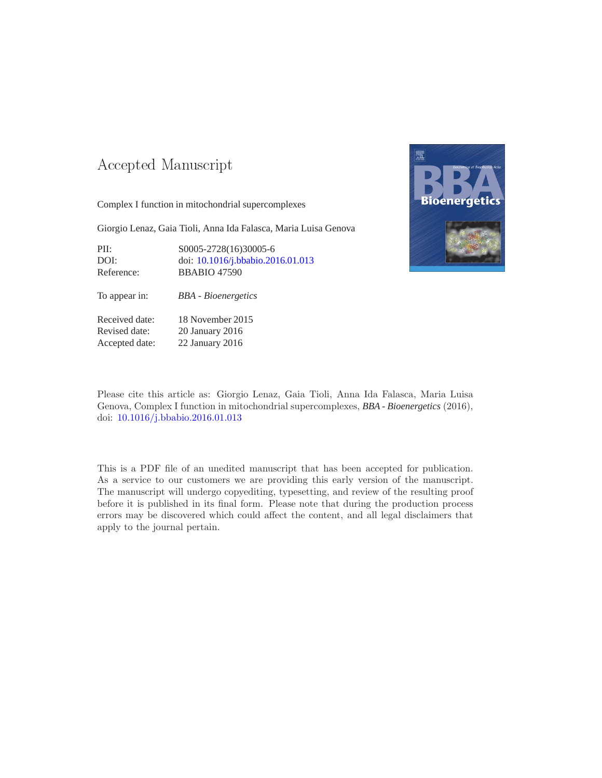### -- -

Complex I function in mitochondrial supercomplexes

Giorgio Lenaz, Gaia Tioli, Anna Ida Falasca, Maria Luisa Genova

PII: S0005-2728(16)30005-6 DOI: doi: [10.1016/j.bbabio.2016.01.013](http://dx.doi.org/10.1016/j.bbabio.2016.01.013) Reference: BBABIO 47590

To appear in: *BBA - Bioenergetics*

Received date: 18 November 2015 Revised date: 20 January 2016 Accepted date: 22 January 2016



Please cite this article as: Giorgio Lenaz, Gaia Tioli, Anna Ida Falasca, Maria Luisa Genova, Complex I function in mitochondrial supercomplexes, *BBA - Bioenergetics* (2016), doi: [10.1016/j.bbabio.2016.01.013](http://dx.doi.org/10.1016/j.bbabio.2016.01.013)

This is a PDF file of an unedited manuscript that has been accepted for publication. As a service to our customers we are providing this early version of the manuscript. The manuscript will undergo copyediting, typesetting, and review of the resulting proof before it is published in its final form. Please note that during the production process errors may be discovered which could affect the content, and all legal disclaimers that apply to the journal pertain.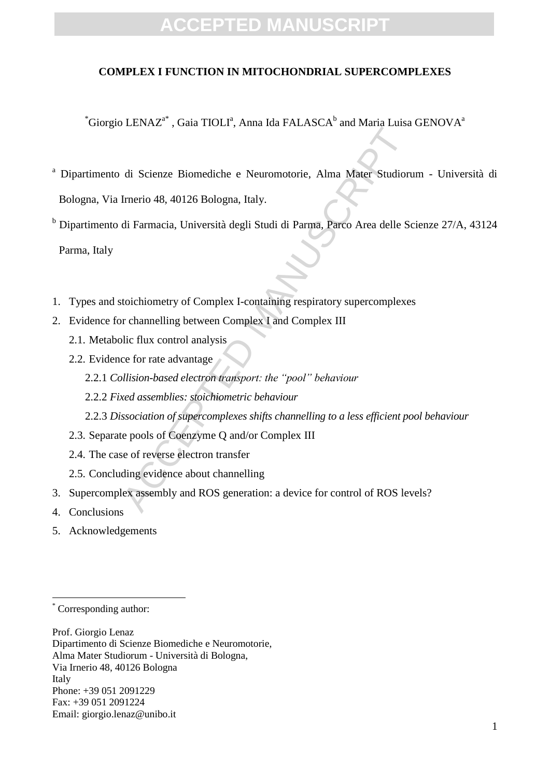# **FPTED MANUS**

#### **COMPLEX I FUNCTION IN MITOCHONDRIAL SUPERCOMPLEXES**

 $\mathrm{``Giorgio\ LENAZ^{a}}^{*}$  , Gaia TIOLI<sup>a</sup>, Anna Ida FALASCA<sup>b</sup> and Maria Luisa GENOVA<sup>a</sup>

- <sup>a</sup> Dipartimento di Scienze Biomediche e Neuromotorie, Alma Mater Studiorum Università di Bologna, Via Irnerio 48, 40126 Bologna, Italy.
- di Scienze Biomediche e Neuromotorie, Alma Mater Studion<br>
di Scienze Biomediche e Neuromotorie, Alma Mater Studion<br>
Imerio 48, 40126 Bologna, Italy.<br>
di Farmacia, Università degli Studi di Parma, Parco Area delle Sc<br>
stoic <sup>b</sup> Dipartimento di Farmacia, Università degli Studi di Parma, Parco Area delle Scienze 27/A, 43124 Parma, Italy
- 1. Types and stoichiometry of Complex I-containing respiratory supercomplexes
- 2. Evidence for channelling between Complex I and Complex III
	- 2.1. Metabolic flux control analysis
	- 2.2. Evidence for rate advantage
		- 2.2.1 *Collision-based electron transport: the "pool" behaviour*
		- 2.2.2 *Fixed assemblies: stoichiometric behaviour*
		- 2.2.3 *Dissociation of supercomplexes shifts channelling to a less efficient pool behaviour*
	- 2.3. Separate pools of Coenzyme Q and/or Complex III
	- 2.4. The case of reverse electron transfer
	- 2.5. Concluding evidence about channelling
- 3. Supercomplex assembly and ROS generation: a device for control of ROS levels?
- 4. Conclusions
- 5. Acknowledgements

<u>.</u>

<sup>\*</sup> Corresponding author:

Prof. Giorgio Lenaz Dipartimento di Scienze Biomediche e Neuromotorie, Alma Mater Studiorum - Università di Bologna, Via Irnerio 48, 40126 Bologna Italy Phone: +39 051 2091229 Fax: +39 051 2091224 Email: giorgio.lenaz@unibo.it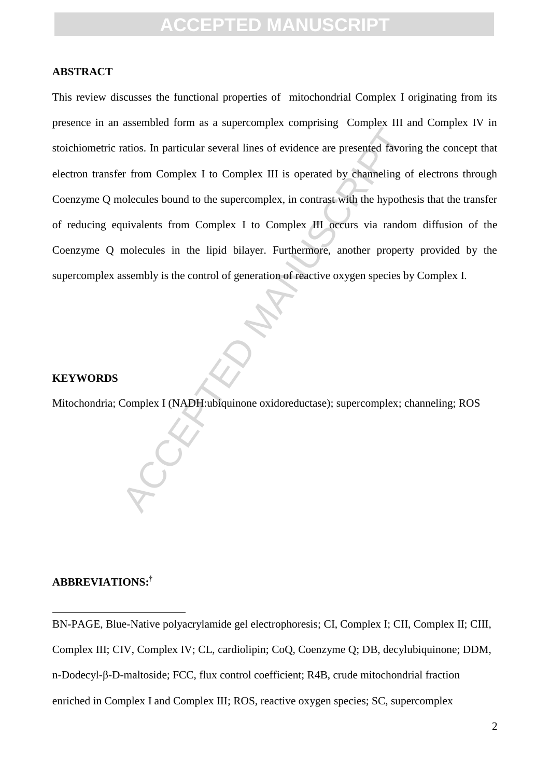#### **ABSTRACT**

Examples and the transferred lines of evidence are presented favoriations. In particular several lines of evidence are presented favorities of the two complex I to Complex II is operated by channeling of oldecules bound to This review discusses the functional properties of mitochondrial Complex I originating from its presence in an assembled form as a supercomplex comprising Complex III and Complex IV in stoichiometric ratios. In particular several lines of evidence are presented favoring the concept that electron transfer from Complex I to Complex III is operated by channeling of electrons through Coenzyme Q molecules bound to the supercomplex, in contrast with the hypothesis that the transfer of reducing equivalents from Complex I to Complex III occurs via random diffusion of the Coenzyme Q molecules in the lipid bilayer. Furthermore, another property provided by the supercomplex assembly is the control of generation of reactive oxygen species by Complex I.

#### **KEYWORDS**

Mitochondria; Complex I (NADH:ubiquinone oxidoreductase); supercomplex; channeling; ROS

### **ABBREVIATIONS: †**

1

BN-PAGE, Blue-Native polyacrylamide gel electrophoresis; CI, Complex I; CII, Complex II; CIII, Complex III; CIV, Complex IV; CL, cardiolipin; CoQ, Coenzyme Q; DB, decylubiquinone; DDM, n-Dodecyl-β-D-maltoside; FCC, flux control coefficient; R4B, crude mitochondrial fraction enriched in Complex I and Complex III; ROS, reactive oxygen species; SC, supercomplex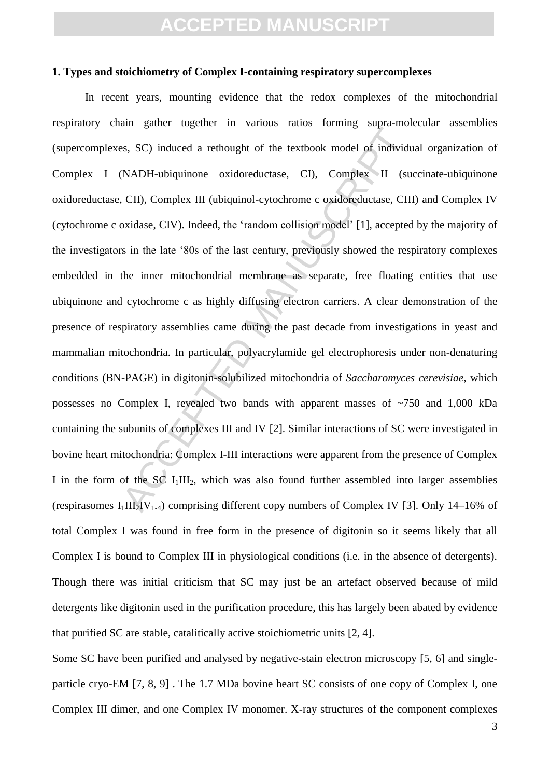#### **1. Types and stoichiometry of Complex I-containing respiratory supercomplexes**

Example 1.1 The textbook model of individual MADH-ubiquinone oxidoreductase, CD, Complex II (su<br>
CII), Complex III (ubiquinol-cytochrome c oxidoreductase, CII<br>
contase, CIV). Indeed, the 'random collision model' [1], acce In recent years, mounting evidence that the redox complexes of the mitochondrial respiratory chain gather together in various ratios forming supra-molecular assemblies (supercomplexes, SC) induced a rethought of the textbook model of individual organization of Complex I (NADH-ubiquinone oxidoreductase, CI), Complex II (succinate-ubiquinone oxidoreductase, CII), Complex III (ubiquinol-cytochrome c oxidoreductase, CIII) and Complex IV (cytochrome c oxidase, CIV). Indeed, the ‗random collision model' [1], accepted by the majority of the investigators in the late '80s of the last century, previously showed the respiratory complexes embedded in the inner mitochondrial membrane as separate, free floating entities that use ubiquinone and cytochrome c as highly diffusing electron carriers. A clear demonstration of the presence of respiratory assemblies came during the past decade from investigations in yeast and mammalian mitochondria. In particular, polyacrylamide gel electrophoresis under non-denaturing conditions (BN-PAGE) in digitonin-solubilized mitochondria of *Saccharomyces cerevisiae*, which possesses no Complex I, revealed two bands with apparent masses of ~750 and 1,000 kDa containing the subunits of complexes III and IV [2]. Similar interactions of SC were investigated in bovine heart mitochondria: Complex I-III interactions were apparent from the presence of Complex I in the form of the SC  $I_1III_2$ , which was also found further assembled into larger assemblies (respirasomes  $I_1III_2IV_{1-4}$ ) comprising different copy numbers of Complex IV [3]. Only 14–16% of total Complex I was found in free form in the presence of digitonin so it seems likely that all Complex I is bound to Complex III in physiological conditions (i.e. in the absence of detergents). Though there was initial criticism that SC may just be an artefact observed because of mild detergents like digitonin used in the purification procedure, this has largely been abated by evidence that purified SC are stable, catalitically active stoichiometric units [\[2,](#page-3-0) 4].

<span id="page-3-4"></span><span id="page-3-3"></span><span id="page-3-2"></span><span id="page-3-1"></span><span id="page-3-0"></span>Some SC have been purified and analysed by negative-stain electron microscopy [5, 6] and singleparticle cryo-EM [7, 8, 9] . The 1.7 MDa bovine heart SC consists of one copy of Complex I, one Complex III dimer, and one Complex IV monomer. X-ray structures of the component complexes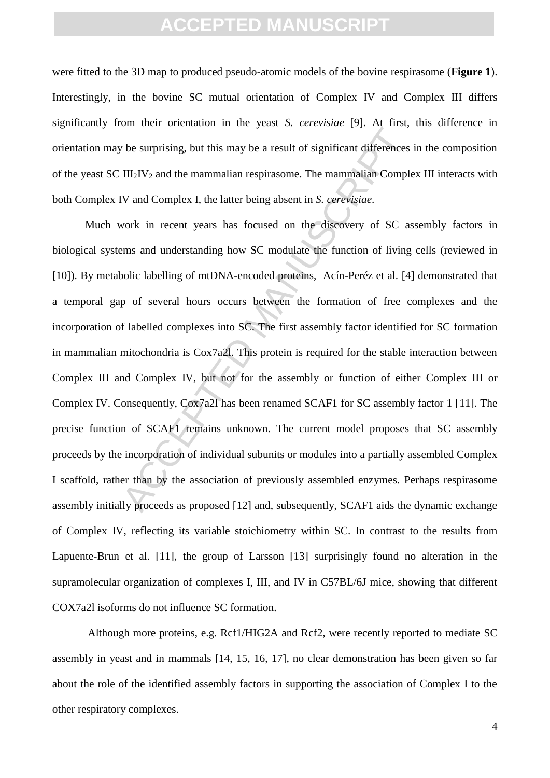were fitted to the 3D map to produced pseudo-atomic models of the bovine respirasome (**Figure 1**). Interestingly, in the bovine SC mutual orientation of Complex IV and Complex III differs significantly from their orientation in the yeast *S. cerevisiae* [9]. At first, this difference in orientation may be surprising, but this may be a result of significant differences in the composition of the yeast SC  $III_2$ IV<sub>2</sub> and the mammalian respirasome. The mammalian Complex III interacts with both Complex IV and Complex I, the latter being absent in *S. cerevisiae*.

The surprising, but this may be a result of significant differences  $III_2IV_2$  and the mammalian respirasome. The mammalian CompleV and Complex I, the latter being absent in *S. cerevisiae*.<br>Work in recent years has focused Much work in recent years has focused on the discovery of SC assembly factors in biological systems and understanding how SC modulate the function of living cells (reviewed in [10]). By metabolic labelling of mtDNA-encoded proteins, Acín-Peréz et al. [\[4\]](#page-3-2) demonstrated that a temporal gap of several hours occurs between the formation of free complexes and the incorporation of labelled complexes into SC. The first assembly factor identified for SC formation in mammalian mitochondria is Cox7a2l. This protein is required for the stable interaction between Complex III and Complex IV, but not for the assembly or function of either Complex III or Complex IV. Consequently, Cox7a2l has been renamed SCAF1 for SC assembly factor 1 [11]. The precise function of SCAF1 remains unknown. The current model proposes that SC assembly proceeds by the incorporation of individual subunits or modules into a partially assembled Complex I scaffold, rather than by the association of previously assembled enzymes. Perhaps respirasome assembly initially proceeds as proposed [12] and, subsequently, SCAF1 aids the dynamic exchange of Complex IV, reflecting its variable stoichiometry within SC. In contrast to the results from Lapuente-Brun et al. [\[11\]](#page-4-0), the group of Larsson [13] surprisingly found no alteration in the supramolecular organization of complexes I, III, and IV in C57BL/6J mice, showing that different COX7a2l isoforms do not influence SC formation.

<span id="page-4-0"></span>Although more proteins, e.g. Rcf1/HIG2A and Rcf2, were recently reported to mediate SC assembly in yeast and in mammals [14, 15, 16, 17], no clear demonstration has been given so far about the role of the identified assembly factors in supporting the association of Complex I to the other respiratory complexes.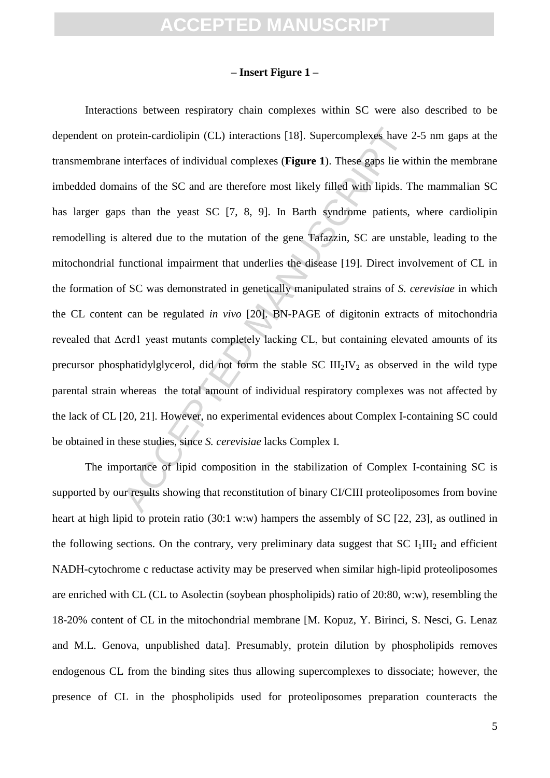#### <span id="page-5-5"></span><span id="page-5-4"></span><span id="page-5-0"></span>**– Insert Figure 1 –**

protein-cardiolipin (CL) interactions [18]. Supercomplexes have interfaces of individual complexes (**Figure 1**). These gaps lie wi<br>ains of the SC and are therefore most likely filled with lipids. T<br>s than the yeast SC [7, Interactions between respiratory chain complexes within SC were also described to be dependent on protein-cardiolipin (CL) interactions [18]. Supercomplexes have 2-5 nm gaps at the transmembrane interfaces of individual complexes (**Figure 1**). These gaps lie within the membrane imbedded domains of the SC and are therefore most likely filled with lipids. The mammalian SC has larger gaps than the yeast SC [7, 8, 9]. In Barth syndrome patients, where cardiolipin remodelling is altered due to the mutation of the gene Tafazzin, SC are unstable, leading to the mitochondrial functional impairment that underlies the disease [19]. Direct involvement of CL in the formation of SC was demonstrated in genetically manipulated strains of *S. cerevisiae* in which the CL content can be regulated *in vivo* [20]. BN-PAGE of digitonin extracts of mitochondria revealed that Δcrd1 yeast mutants completely lacking CL, but containing elevated amounts of its precursor phosphatidylglycerol, did not form the stable SC  $III<sub>2</sub>IV<sub>2</sub>$  as observed in the wild type parental strain whereas the total amount of individual respiratory complexes was not affected by the lack of CL [20, 21]. However, no experimental evidences about Complex I-containing SC could be obtained in these studies, since *S. cerevisiae* lacks Complex I.

<span id="page-5-3"></span><span id="page-5-2"></span><span id="page-5-1"></span>The importance of lipid composition in the stabilization of Complex I-containing SC is supported by our results showing that reconstitution of binary CI/CIII proteoliposomes from bovine heart at high lipid to protein ratio (30:1 w:w) hampers the assembly of SC [22, 23], as outlined in the following sections. On the contrary, very preliminary data suggest that  $SC I<sub>1</sub>III<sub>2</sub>$  and efficient NADH-cytochrome c reductase activity may be preserved when similar high-lipid proteoliposomes are enriched with CL (CL to Asolectin (soybean phospholipids) ratio of 20:80, w:w), resembling the 18-20% content of CL in the mitochondrial membrane [M. Kopuz, Y. Birinci, S. Nesci, G. Lenaz and M.L. Genova, unpublished data]. Presumably, protein dilution by phospholipids removes endogenous CL from the binding sites thus allowing supercomplexes to dissociate; however, the presence of CL in the phospholipids used for proteoliposomes preparation counteracts the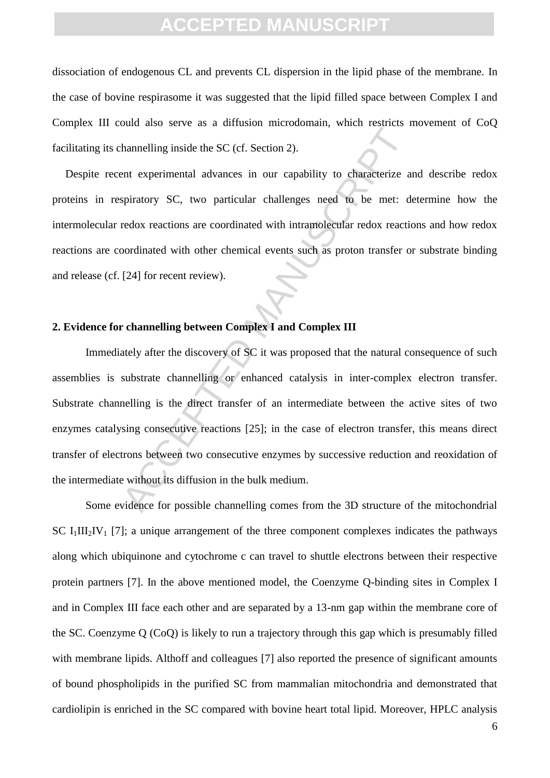dissociation of endogenous CL and prevents CL dispersion in the lipid phase of the membrane. In the case of bovine respirasome it was suggested that the lipid filled space between Complex I and Complex III could also serve as a diffusion microdomain, which restricts movement of CoQ facilitating its channelling inside the SC (cf. Section 2).

Despite recent experimental advances in our capability to characterize and describe redox proteins in respiratory SC, two particular challenges need to be met: determine how the intermolecular redox reactions are coordinated with intramolecular redox reactions and how redox reactions are coordinated with other chemical events such as proton transfer or substrate binding and release (cf. [24] for recent review).

#### **2. Evidence for channelling between Complex I and Complex III**

The material advances in our capability to characterize a<br>spiratory SC, two particular challenges need to be met: d<br>redox reactions are coordinated with intramolecular redox reactio<br>oordinated with other chemical events su Immediately after the discovery of SC it was proposed that the natural consequence of such assemblies is substrate channelling or enhanced catalysis in inter-complex electron transfer. Substrate channelling is the direct transfer of an intermediate between the active sites of two enzymes catalysing consecutive reactions [25]; in the case of electron transfer, this means direct transfer of electrons between two consecutive enzymes by successive reduction and reoxidation of the intermediate without its diffusion in the bulk medium.

Some evidence for possible channelling comes from the 3D structure of the mitochondrial SC  $I_1III_2IV_1$  [\[7\]](#page-3-3); a unique arrangement of the three component complexes indicates the pathways along which ubiquinone and cytochrome c can travel to shuttle electrons between their respective protein partners [\[7\]](#page-3-3). In the above mentioned model, the Coenzyme Q-binding sites in Complex I and in Complex III face each other and are separated by a 13-nm gap within the membrane core of the SC. Coenzyme Q (CoQ) is likely to run a trajectory through this gap which is presumably filled with membrane lipids. Althoff and colleagues [\[7\]](#page-3-3) also reported the presence of significant amounts of bound phospholipids in the purified SC from mammalian mitochondria and demonstrated that cardiolipin is enriched in the SC compared with bovine heart total lipid. Moreover, HPLC analysis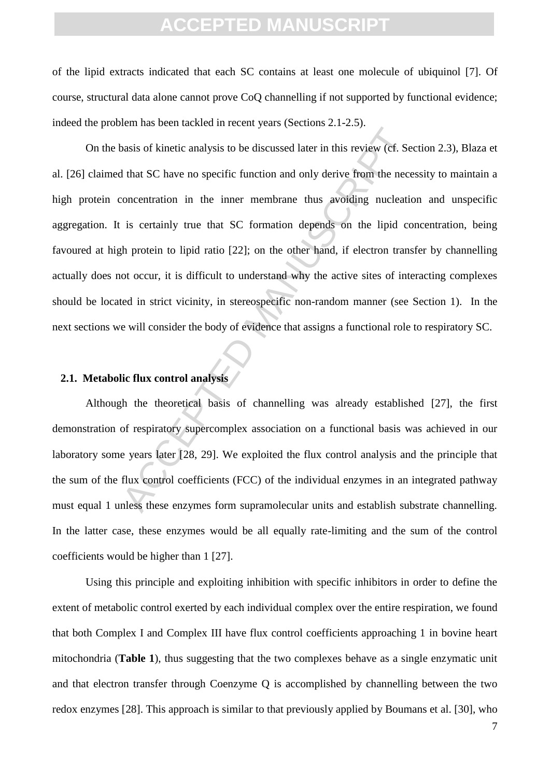of the lipid extracts indicated that each SC contains at least one molecule of ubiquinol [\[7\]](#page-3-3). Of course, structural data alone cannot prove CoQ channelling if not supported by functional evidence; indeed the problem has been tackled in recent years (Sections 2.1-2.5).

<span id="page-7-2"></span>The state is also also also also the discussed later in this review (cf. See that SC have no specific function and only derive from the necestion and only derive from the necestion in the inner membrane thus avoiding nucle On the basis of kinetic analysis to be discussed later in this review (cf. Section 2.3), Blaza et al. [26] claimed that SC have no specific function and only derive from the necessity to maintain a high protein concentration in the inner membrane thus avoiding nucleation and unspecific aggregation. It is certainly true that SC formation depends on the lipid concentration, being favoured at high protein to lipid ratio [22]; on the other hand, if electron transfer by channelling actually does not occur, it is difficult to understand why the active sites of interacting complexes should be located in strict vicinity, in stereospecific non-random manner (see Section 1). In the next sections we will consider the body of evidence that assigns a functional role to respiratory SC.

#### <span id="page-7-0"></span>**2.1. Metabolic flux control analysis**

<span id="page-7-3"></span><span id="page-7-1"></span>Although the theoretical basis of channelling was already established [27], the first demonstration of respiratory supercomplex association on a functional basis was achieved in our laboratory some years later [28, 29]. We exploited the flux control analysis and the principle that the sum of the flux control coefficients (FCC) of the individual enzymes in an integrated pathway must equal 1 unless these enzymes form supramolecular units and establish substrate channelling. In the latter case, these enzymes would be all equally rate-limiting and the sum of the control coefficients would be higher than 1 [\[27\]](#page-7-0).

Using this principle and exploiting inhibition with specific inhibitors in order to define the extent of metabolic control exerted by each individual complex over the entire respiration, we found that both Complex I and Complex III have flux control coefficients approaching 1 in bovine heart mitochondria (**Table 1**), thus suggesting that the two complexes behave as a single enzymatic unit and that electron transfer through Coenzyme Q is accomplished by channelling between the two redox enzymes [\[28\]](#page-7-1). This approach is similar to that previously applied by Boumans et al. [30], who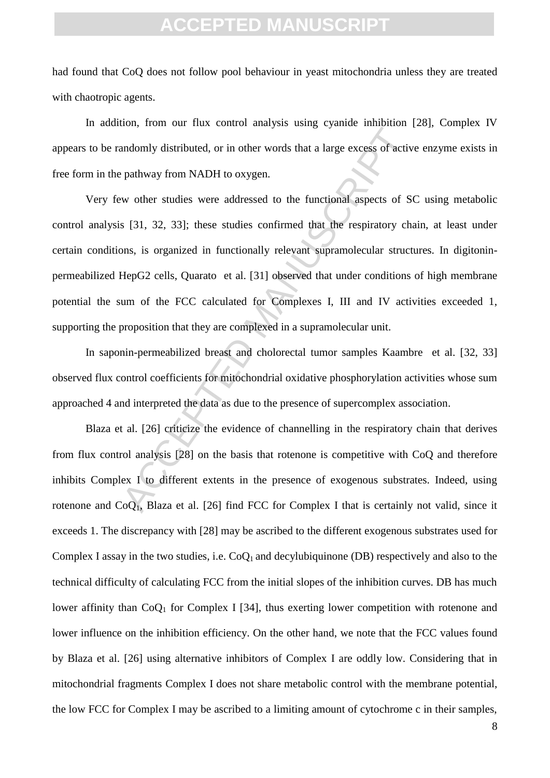had found that CoQ does not follow pool behaviour in yeast mitochondria unless they are treated with chaotropic agents.

In addition, from our flux control analysis using cyanide inhibition [\[28\]](#page-7-1), Complex IV appears to be randomly distributed, or in other words that a large excess of active enzyme exists in free form in the pathway from NADH to oxygen.

<span id="page-8-2"></span><span id="page-8-1"></span><span id="page-8-0"></span>The start of the matrix and start and start and start and start and start and start and start and start and an<br>pathway from N[A](#page-8-0)DH to oxygen.<br>We obter studies were addressed to the functional aspects of S<br>s [31, 32, 33]; the Very few other studies were addressed to the functional aspects of SC using metabolic control analysis [31, 32, 33]; these studies confirmed that the respiratory chain, at least under certain conditions, is organized in functionally relevant supramolecular structures. In digitoninpermeabilized HepG2 cells, Quarato et al. [31] observed that under conditions of high membrane potential the sum of the FCC calculated for Complexes I, III and IV activities exceeded 1, supporting the proposition that they are complexed in a supramolecular unit.

In saponin-permeabilized breast and cholorectal tumor samples Kaambre et al. [\[32,](#page-8-1) [33\]](#page-8-2) observed flux control coefficients for mitochondrial oxidative phosphorylation activities whose sum approached 4 and interpreted the data as due to the presence of supercomplex association.

<span id="page-8-3"></span>Blaza et al. [26] criticize the evidence of channelling in the respiratory chain that derives from flux control analysis [28] on the basis that rotenone is competitive with CoQ and therefore inhibits Complex I to different extents in the presence of exogenous substrates. Indeed, using rotenone and CoQ1, Blaza et al. [26] find FCC for Complex I that is certainly not valid, since it exceeds 1. The discrepancy with [\[28\]](#page-7-1) may be ascribed to the different exogenous substrates used for Complex I assay in the two studies, i.e.  $CoQ<sub>1</sub>$  and decylubiquinone (DB) respectively and also to the technical difficulty of calculating FCC from the initial slopes of the inhibition curves. DB has much lower affinity than  $CoQ_1$  for Complex I [34], thus exerting lower competition with rotenone and lower influence on the inhibition efficiency. On the other hand, we note that the FCC values found by Blaza et al. [\[26\]](#page-7-2) using alternative inhibitors of Complex I are oddly low. Considering that in mitochondrial fragments Complex I does not share metabolic control with the membrane potential, the low FCC for Complex I may be ascribed to a limiting amount of cytochrome c in their samples,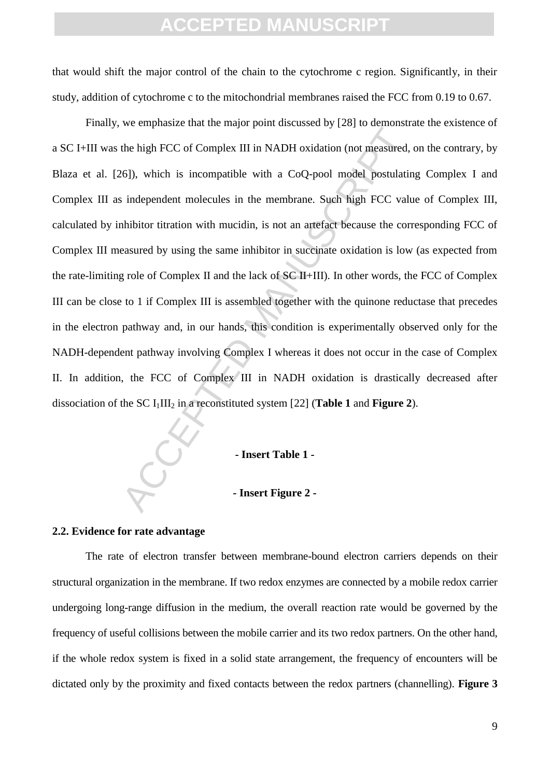that would shift the major control of the chain to the cytochrome c region. Significantly, in their study, addition of cytochrome c to the mitochondrial membranes raised the FCC from 0.19 to 0.67.

According to the matrix of the matrice of the signal matrix of the high FCC of Complex III in NADH oxidation (not measured, 161), which is incompatible with a CoQ-pool model postulation is independent molecules in the mem Finally, we emphasize that the major point discussed by [28] to demonstrate the existence of a SC I+III was the high FCC of Complex III in NADH oxidation (not measured, on the contrary, by Blaza et al. [26]), which is incompatible with a CoQ-pool model postulating Complex I and Complex III as independent molecules in the membrane. Such high FCC value of Complex III, calculated by inhibitor titration with mucidin, is not an artefact because the corresponding FCC of Complex III measured by using the same inhibitor in succinate oxidation is low (as expected from the rate-limiting role of Complex II and the lack of SC II+III). In other words, the FCC of Complex III can be close to 1 if Complex III is assembled together with the quinone reductase that precedes in the electron pathway and, in our hands, this condition is experimentally observed only for the NADH-dependent pathway involving Complex I whereas it does not occur in the case of Complex II. In addition, the FCC of Complex III in NADH oxidation is drastically decreased after dissociation of the SC  $I_1III_2$  in a reconstituted system [22] (**Table 1** and **Figure 2**).

**- Insert Table 1 -**

**- Insert Figure 2 -**

#### **2.2. Evidence for rate advantage**

The rate of electron transfer between membrane-bound electron carriers depends on their structural organization in the membrane. If two redox enzymes are connected by a mobile redox carrier undergoing long-range diffusion in the medium, the overall reaction rate would be governed by the frequency of useful collisions between the mobile carrier and its two redox partners. On the other hand, if the whole redox system is fixed in a solid state arrangement, the frequency of encounters will be dictated only by the proximity and fixed contacts between the redox partners (channelling). **Figure 3**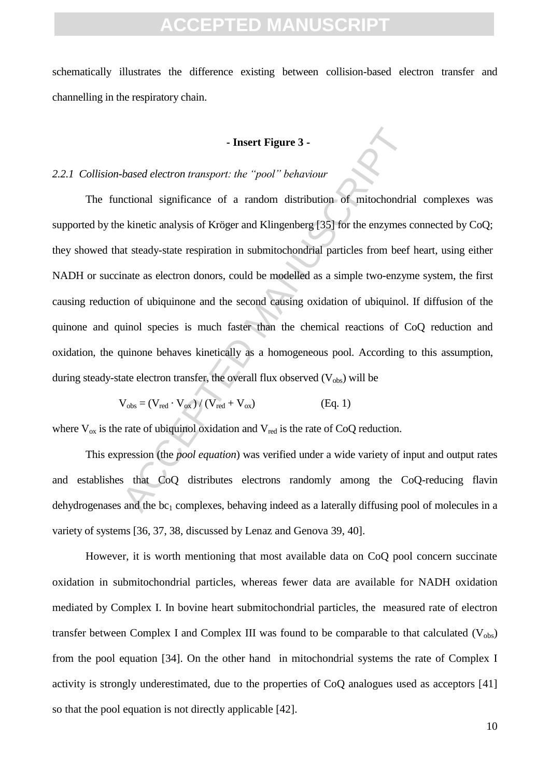schematically illustrates the difference existing between collision-based electron transfer and channelling in the respiratory chain.

#### **- Insert Figure 3 -**

#### *2.2.1 Collision-based electron transport: the "pool" behaviour*

**- Insert Figure 3 -**<br> *Abased electron transport: the "pool" behaviour*<br>
retional significance of a random distribution of mitochondria<br>
elementic analysis of Kröger and Klingenberg [35] for the enzymes can<br>
at steady-st The functional significance of a random distribution of mitochondrial complexes was supported by the kinetic analysis of Kröger and Klingenberg [35] for the enzymes connected by CoQ; they showed that steady-state respiration in submitochondrial particles from beef heart, using either NADH or succinate as electron donors, could be modelled as a simple two-enzyme system, the first causing reduction of ubiquinone and the second causing oxidation of ubiquinol. If diffusion of the quinone and quinol species is much faster than the chemical reactions of CoQ reduction and oxidation, the quinone behaves kinetically as a homogeneous pool. According to this assumption, during steady-state electron transfer, the overall flux observed  $(V_{obs})$  will be

<span id="page-10-1"></span><span id="page-10-0"></span>
$$
V_{obs} = (V_{red} \cdot V_{ox}) / (V_{red} + V_{ox})
$$
 (Eq. 1)

where  $V_{ox}$  is the rate of ubiquinol oxidation and  $V_{red}$  is the rate of CoQ reduction.

This expression (the *pool equation*) was verified under a wide variety of input and output rates and establishes that CoQ distributes electrons randomly among the CoQ-reducing flavin dehydrogenases and the  $bc_1$  complexes, behaving indeed as a laterally diffusing pool of molecules in a variety of systems [36, 37, 38, discussed by Lenaz and Genova 39, 40].

<span id="page-10-2"></span>However, it is worth mentioning that most available data on CoQ pool concern succinate oxidation in submitochondrial particles, whereas fewer data are available for NADH oxidation mediated by Complex I. In bovine heart submitochondrial particles, the measured rate of electron transfer between Complex I and Complex III was found to be comparable to that calculated  $(V_{obs})$ from the pool equation [\[34\]](#page-8-3). On the other hand in mitochondrial systems the rate of Complex I activity is strongly underestimated, due to the properties of CoQ analogues used as acceptors [41] so that the pool equation is not directly applicable [42].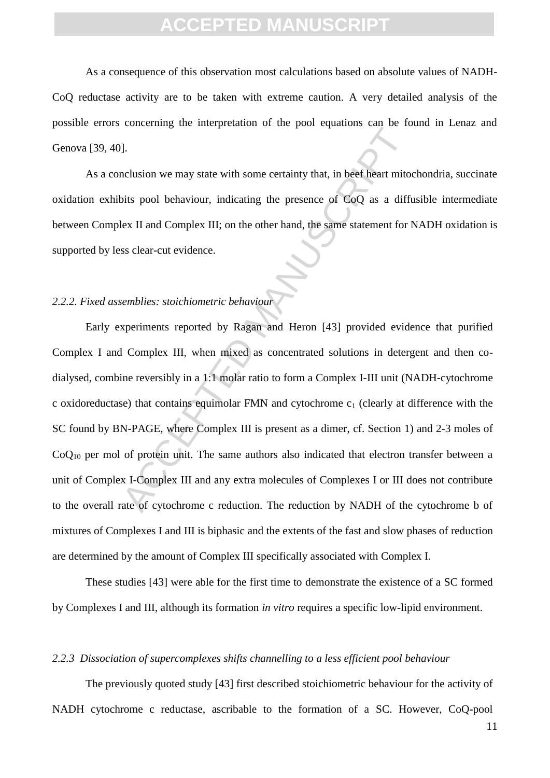As a consequence of this observation most calculations based on absolute values of NADH-CoQ reductase activity are to be taken with extreme caution. A very detailed analysis of the possible errors concerning the interpretation of the pool equations can be found in Lenaz and Genova [\[39,](#page-10-0) [40\]](#page-10-1).

As a conclusion we may state with some certainty that, in beef heart mitochondria, succinate oxidation exhibits pool behaviour, indicating the presence of CoQ as a diffusible intermediate between Complex II and Complex III; on the other hand, the same statement for NADH oxidation is supported by less clear-cut evidence.

#### <span id="page-11-0"></span>*2.2.2. Fixed assemblies: stoichiometric behaviour*

From the matrice of CoQ as a diffusion we may state with some certainty that, in beef heart mito<br>bits pool behaviour, indicating the presence of CoQ as a diffuse II and Complex III; on the other hand, the same statement f Early experiments reported by Ragan and Heron [43] provided evidence that purified Complex I and Complex III, when mixed as concentrated solutions in detergent and then codialysed, combine reversibly in a 1:1 molar ratio to form a Complex I-III unit (NADH-cytochrome c oxidoreductase) that contains equimolar FMN and cytochrome  $c_1$  (clearly at difference with the SC found by BN-PAGE, where Complex III is present as a dimer, cf. Section 1) and 2-3 moles of  $CoQ<sub>10</sub>$  per mol of protein unit. The same authors also indicated that electron transfer between a unit of Complex I-Complex III and any extra molecules of Complexes I or III does not contribute to the overall rate of cytochrome c reduction. The reduction by NADH of the cytochrome b of mixtures of Complexes I and III is biphasic and the extents of the fast and slow phases of reduction are determined by the amount of Complex III specifically associated with Complex I.

These studies [\[43\]](#page-11-0) were able for the first time to demonstrate the existence of a SC formed by Complexes I and III, although its formation *in vitro* requires a specific low-lipid environment.

#### *2.2.3 Dissociation of supercomplexes shifts channelling to a less efficient pool behaviour*

The previously quoted study [\[43\]](#page-11-0) first described stoichiometric behaviour for the activity of NADH cytochrome c reductase, ascribable to the formation of a SC. However, CoQ-pool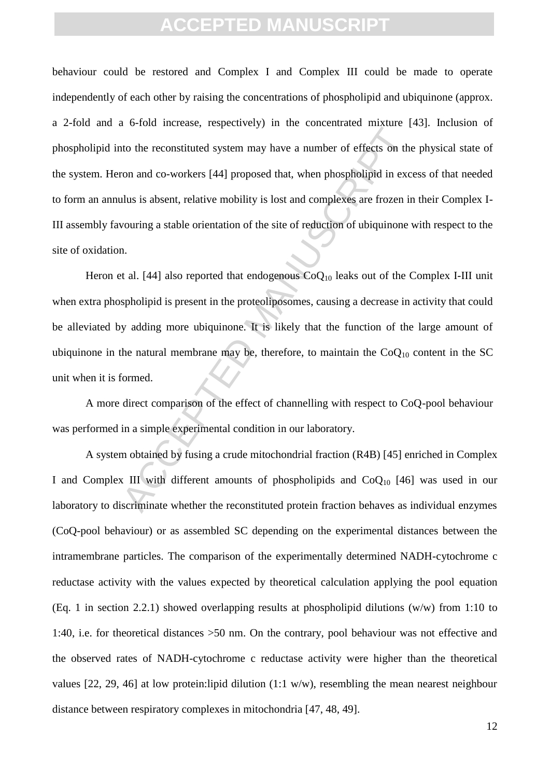<span id="page-12-0"></span>A solution interfact of the entertainty of the entertainment of the entertainment of the entertainment of the throm and co-workers [44] proposed that, when phospholipid in exclus is absent, relative mobility is lost and c behaviour could be restored and Complex I and Complex III could be made to operate independently of each other by raising the concentrations of phospholipid and ubiquinone (approx. a 2-fold and a 6-fold increase, respectively) in the concentrated mixture [\[43\]](#page-11-0). Inclusion of phospholipid into the reconstituted system may have a number of effects on the physical state of the system. Heron and co-workers [44] proposed that, when phospholipid in excess of that needed to form an annulus is absent, relative mobility is lost and complexes are frozen in their Complex I-III assembly favouring a stable orientation of the site of reduction of ubiquinone with respect to the site of oxidation.

Heron et al. [44] also reported that endogenous  $CoQ_{10}$  leaks out of the Complex I-III unit when extra phospholipid is present in the proteoliposomes, causing a decrease in activity that could be alleviated by adding more ubiquinone. It is likely that the function of the large amount of ubiquinone in the natural membrane may be, therefore, to maintain the  $CoQ_{10}$  content in the SC unit when it is formed.

A more direct comparison of the effect of channelling with respect to CoQ-pool behaviour was performed in a simple experimental condition in our laboratory.

<span id="page-12-1"></span>A system obtained by fusing a crude mitochondrial fraction (R4B) [45] enriched in Complex I and Complex III with different amounts of phospholipids and  $CoQ_{10}$  [46] was used in our laboratory to discriminate whether the reconstituted protein fraction behaves as individual enzymes (CoQ-pool behaviour) or as assembled SC depending on the experimental distances between the intramembrane particles. The comparison of the experimentally determined NADH-cytochrome c reductase activity with the values expected by theoretical calculation applying the pool equation (Eq. 1 in section 2.2.1) showed overlapping results at phospholipid dilutions (w/w) from 1:10 to 1:40, i.e. for theoretical distances >50 nm. On the contrary, pool behaviour was not effective and the observed rates of NADH-cytochrome c reductase activity were higher than the theoretical values [\[22,](#page-5-1) [29,](#page-7-3) [46\]](#page-12-1) at low protein:lipid dilution (1:1 w/w), resembling the mean nearest neighbour distance between respiratory complexes in mitochondria [47, 48, 49].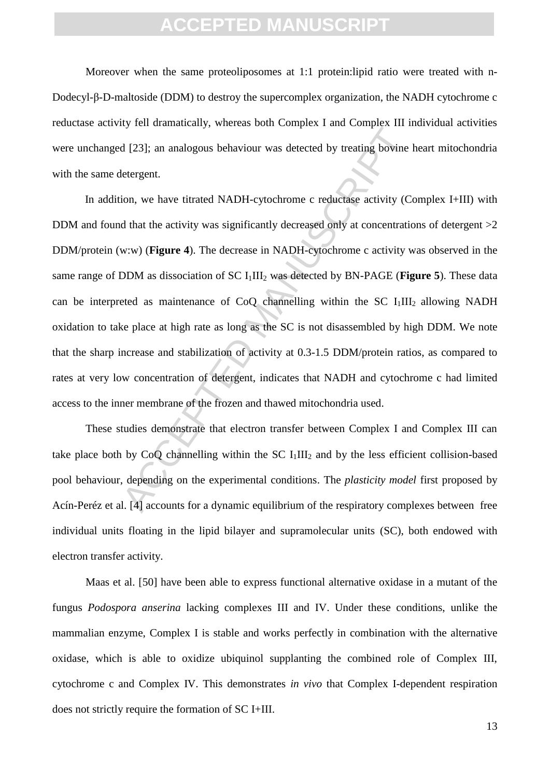Moreover when the same proteoliposomes at 1:1 protein:lipid ratio were treated with n-Dodecyl-β-D-maltoside (DDM) to destroy the supercomplex organization, the NADH cytochrome c reductase activity fell dramatically, whereas both Complex I and Complex III individual activities were unchanged [23]; an analogous behaviour was detected by treating bovine heart mitochondria with the same detergent.

[A](#page-3-2)nd all all all all all all all all all point<br>and all [23]; an analogous behaviour was detected by treating bovine<br>letergent.<br>tion, we have titrated NADH-cytochrome c reductase activity (C<br>d that the activity was signific In addition, we have titrated NADH-cytochrome c reductase activity (Complex I+III) with DDM and found that the activity was significantly decreased only at concentrations of detergent  $>2$ DDM/protein (w:w) (**Figure 4**). The decrease in NADH-cytochrome c activity was observed in the same range of DDM as dissociation of SC I<sub>1</sub>III<sub>2</sub> was detected by BN-PAGE (**Figure 5**). These data can be interpreted as maintenance of CoQ channelling within the SC  $I_1III_2$  allowing NADH oxidation to take place at high rate as long as the SC is not disassembled by high DDM. We note that the sharp increase and stabilization of activity at 0.3-1.5 DDM/protein ratios, as compared to rates at very low concentration of detergent, indicates that NADH and cytochrome c had limited access to the inner membrane of the frozen and thawed mitochondria used.

These studies demonstrate that electron transfer between Complex I and Complex III can take place both by  $CoQ$  channelling within the SC  $I_1III_2$  and by the less efficient collision-based pool behaviour, depending on the experimental conditions. The *plasticity model* first proposed by Acín-Peréz et al. [4] accounts for a dynamic equilibrium of the respiratory complexes between free individual units floating in the lipid bilayer and supramolecular units (SC), both endowed with electron transfer activity.

Maas et al. [50] have been able to express functional alternative oxidase in a mutant of the fungus *Podospora anserina* lacking complexes III and IV. Under these conditions, unlike the mammalian enzyme, Complex I is stable and works perfectly in combination with the alternative oxidase, which is able to oxidize ubiquinol supplanting the combined role of Complex III, cytochrome c and Complex IV. This demonstrates *in vivo* that Complex I-dependent respiration does not strictly require the formation of SC I+III.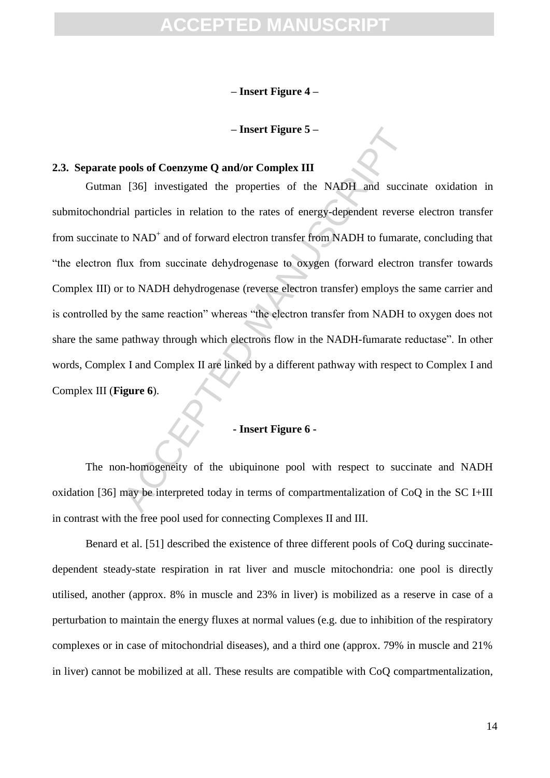#### **– Insert Figure 4 –**

**– Insert Figure 5 –**

#### **2.3. Separate pools of Coenzyme Q and/or Complex III**

- Insert Figure 5 -<br>pools of Coenzyme Q and/or Complex III<br>136] investigated the properties of the NADH and succir<br>ial particles in relation to the rates of energy-dependent reverse<br>to NAD<sup>1</sup> and of forward electron transf Gutman [36] investigated the properties of the NADH and succinate oxidation in submitochondrial particles in relation to the rates of energy-dependent reverse electron transfer from succinate to NAD<sup>+</sup> and of forward electron transfer from NADH to fumarate, concluding that "the electron flux from succinate dehydrogenase to oxygen (forward electron transfer towards Complex III) or to NADH dehydrogenase (reverse electron transfer) employs the same carrier and is controlled by the same reaction" whereas "the electron transfer from NADH to oxygen does not share the same pathway through which electrons flow in the NADH-fumarate reductase". In other words, Complex I and Complex II are linked by a different pathway with respect to Complex I and Complex III (**Figure 6**).

#### **- Insert Figure 6 -**

The non-homogeneity of the ubiquinone pool with respect to succinate and NADH oxidation [\[36\]](#page-10-2) may be interpreted today in terms of compartmentalization of CoQ in the SC I+III in contrast with the free pool used for connecting Complexes II and III.

Benard et al. [51] described the existence of three different pools of CoQ during succinatedependent steady-state respiration in rat liver and muscle mitochondria: one pool is directly utilised, another (approx. 8% in muscle and 23% in liver) is mobilized as a reserve in case of a perturbation to maintain the energy fluxes at normal values (e.g. due to inhibition of the respiratory complexes or in case of mitochondrial diseases), and a third one (approx. 79% in muscle and 21% in liver) cannot be mobilized at all. These results are compatible with CoQ compartmentalization,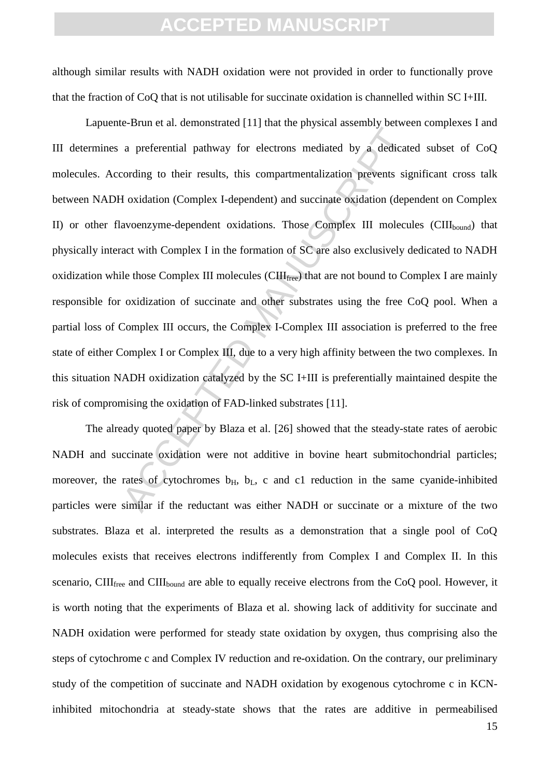although similar results with NADH oxidation were not provided in order to functionally prove that the fraction of CoQ that is not utilisable for succinate oxidation is channelled within SC I+III.

a preferential pathway for electrons mediated by a dedicate<br>cording to their results, this compartmentalization prevents sig<br>d oxidation (Complex I-dependent) and succinate oxidation (depe<br>avoenzyme-dependent oxidations. Lapuente-Brun et al. demonstrated [11] that the physical assembly between complexes I and III determines a preferential pathway for electrons mediated by a dedicated subset of CoQ molecules. According to their results, this compartmentalization prevents significant cross talk between NADH oxidation (Complex I-dependent) and succinate oxidation (dependent on Complex II) or other flavoenzyme-dependent oxidations. Those Complex III molecules (CIII<sub>bound</sub>) that physically interact with Complex I in the formation of SC are also exclusively dedicated to NADH oxidization while those Complex III molecules (CIII<sub>free</sub>) that are not bound to Complex I are mainly responsible for oxidization of succinate and other substrates using the free CoQ pool. When a partial loss of Complex III occurs, the Complex I-Complex III association is preferred to the free state of either Complex I or Complex III, due to a very high affinity between the two complexes. In this situation NADH oxidization catalyzed by the SC I+III is preferentially maintained despite the risk of compromising the oxidation of FAD-linked substrates [11].

The already quoted paper by Blaza et al. [26] showed that the steady-state rates of aerobic NADH and succinate oxidation were not additive in bovine heart submitochondrial particles; moreover, the rates of cytochromes  $b_H$ ,  $b_L$ , c and c1 reduction in the same cyanide-inhibited particles were similar if the reductant was either NADH or succinate or a mixture of the two substrates. Blaza et al. interpreted the results as a demonstration that a single pool of CoQ molecules exists that receives electrons indifferently from Complex I and Complex II. In this scenario, CIII<sub>free</sub> and CIII<sub>bound</sub> are able to equally receive electrons from the CoQ pool. However, it is worth noting that the experiments of Blaza et al. showing lack of additivity for succinate and NADH oxidation were performed for steady state oxidation by oxygen, thus comprising also the steps of cytochrome c and Complex IV reduction and re-oxidation. On the contrary, our preliminary study of the competition of succinate and NADH oxidation by exogenous cytochrome c in KCNinhibited mitochondria at steady-state shows that the rates are additive in permeabilised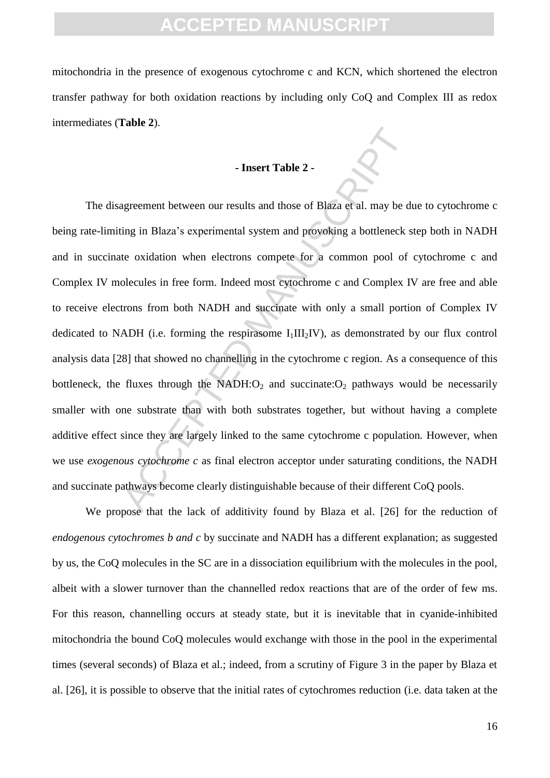mitochondria in the presence of exogenous cytochrome c and KCN, which shortened the electron transfer pathway for both oxidation reactions by including only CoQ and Complex III as redox intermediates (**Table 2**).

#### **- Insert Table 2 -**

**-Insert Table 2 -**<br>**Accelent** Letween our results and those of Blaza et al. may be during in Blaza's experimental system and provoking a bottleneck ste oxidation when electrons compete for a common pool of olecules in fr The disagreement between our results and those of Blaza et al. may be due to cytochrome c being rate-limiting in Blaza's experimental system and provoking a bottleneck step both in NADH and in succinate oxidation when electrons compete for a common pool of cytochrome c and Complex IV molecules in free form. Indeed most cytochrome c and Complex IV are free and able to receive electrons from both NADH and succinate with only a small portion of Complex IV dedicated to NADH (i.e. forming the respirasome  $I_1III_2IV$ ), as demonstrated by our flux control analysis data [28] that showed no channelling in the cytochrome c region. As a consequence of this bottleneck, the fluxes through the NADH: $O_2$  and succinate: $O_2$  pathways would be necessarily smaller with one substrate than with both substrates together, but without having a complete additive effect since they are largely linked to the same cytochrome c population*.* However, when we use *exogenous cytochrome c* as final electron acceptor under saturating conditions, the NADH and succinate pathways become clearly distinguishable because of their different CoQ pools.

We propose that the lack of additivity found by Blaza et al. [\[26\]](#page-7-2) for the reduction of *endogenous cytochromes b and c* by succinate and NADH has a different explanation; as suggested by us, the CoQ molecules in the SC are in a dissociation equilibrium with the molecules in the pool, albeit with a slower turnover than the channelled redox reactions that are of the order of few ms. For this reason, channelling occurs at steady state, but it is inevitable that in cyanide-inhibited mitochondria the bound CoQ molecules would exchange with those in the pool in the experimental times (several seconds) of Blaza et al.; indeed, from a scrutiny of Figure 3 in the paper by Blaza et al. [\[26\]](#page-7-2), it is possible to observe that the initial rates of cytochromes reduction (i.e. data taken at the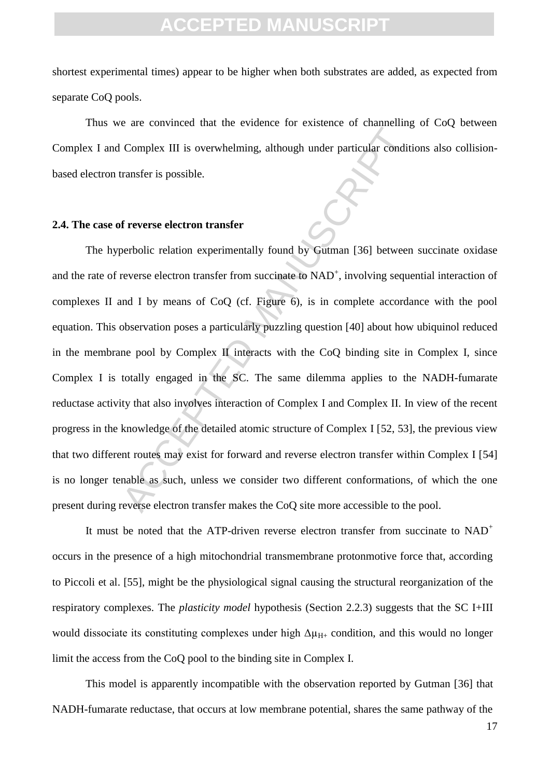shortest experimental times) appear to be higher when both substrates are added, as expected from separate CoQ pools.

Thus we are convinced that the evidence for existence of channelling of CoQ between Complex I and Complex III is overwhelming, although under particular conditions also collisionbased electron transfer is possible.

#### **2.4. The case of reverse electron transfer**

Complex III is overwhelming, although under particular conditions<br>
complex III is overwhelming, although under particular conditions<br>
framester is possible.<br> **ACCEPTED MANUSCRIPT CONSET ACCES**<br> **ACCEPTED MANUSCRIPT CONSET** The hyperbolic relation experimentally found by Gutman [36] between succinate oxidase and the rate of reverse electron transfer from succinate to NAD<sup>+</sup>, involving sequential interaction of complexes II and I by means of CoQ (cf. Figure 6), is in complete accordance with the pool equation. This observation poses a particularly puzzling question [40] about how ubiquinol reduced in the membrane pool by Complex II interacts with the CoQ binding site in Complex I, since Complex I is totally engaged in the SC. The same dilemma applies to the NADH-fumarate reductase activity that also involves interaction of Complex I and Complex II. In view of the recent progress in the knowledge of the detailed atomic structure of Complex I [52, 53], the previous view that two different routes may exist for forward and reverse electron transfer within Complex I [54] is no longer tenable as such, unless we consider two different conformations, of which the one present during reverse electron transfer makes the CoQ site more accessible to the pool.

It must be noted that the ATP-driven reverse electron transfer from succinate to NAD<sup>+</sup> occurs in the presence of a high mitochondrial transmembrane protonmotive force that, according to Piccoli et al. [55], might be the physiological signal causing the structural reorganization of the respiratory complexes. The *plasticity model* hypothesis (Section 2.2.3) suggests that the SC I+III would dissociate its constituting complexes under high  $\Delta u_{H+}$  condition, and this would no longer limit the access from the CoQ pool to the binding site in Complex I.

This model is apparently incompatible with the observation reported by Gutman [\[36\]](#page-10-2) that NADH-fumarate reductase, that occurs at low membrane potential, shares the same pathway of the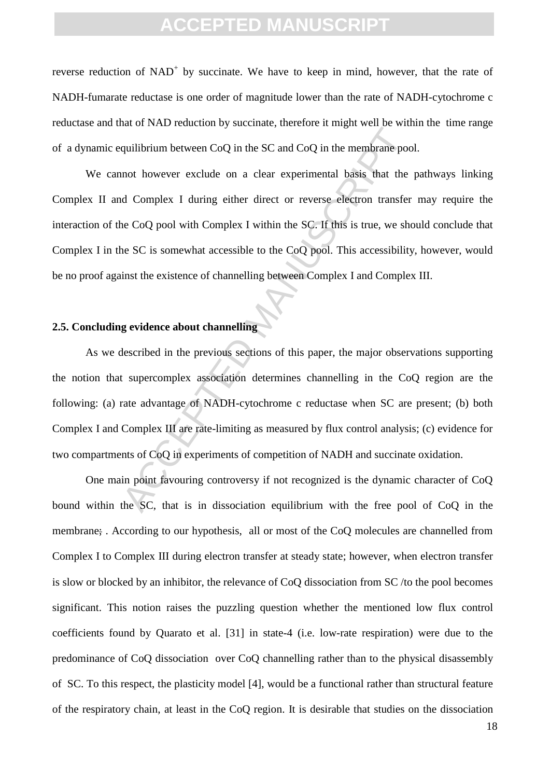reverse reduction of  $NAD<sup>+</sup>$  by succinate. We have to keep in mind, however, that the rate of NADH-fumarate reductase is one order of magnitude lower than the rate of NADH-cytochrome c reductase and that of NAD reduction by succinate, therefore it might well be within the time range of a dynamic equilibrium between CoQ in the SC and CoQ in the membrane pool.

quilibrium between CoQ in the SC and CoQ in the membrane poor and the Manuscrit end of CoQ in the membrane poor and complex 1 during either direct or reverse electron transfer a CoQ pool with Complex I within the SC. If th We cannot however exclude on a clear experimental basis that the pathways linking Complex II and Complex I during either direct or reverse electron transfer may require the interaction of the CoQ pool with Complex I within the SC. If this is true, we should conclude that Complex I in the SC is somewhat accessible to the CoQ pool. This accessibility, however, would be no proof against the existence of channelling between Complex I and Complex III.

#### **2.5. Concluding evidence about channelling**

As we described in the previous sections of this paper, the major observations supporting the notion that supercomplex association determines channelling in the CoQ region are the following: (a) rate advantage of NADH-cytochrome c reductase when SC are present; (b) both Complex I and Complex III are rate-limiting as measured by flux control analysis; (c) evidence for two compartments of CoQ in experiments of competition of NADH and succinate oxidation.

One main point favouring controversy if not recognized is the dynamic character of CoQ bound within the SC, that is in dissociation equilibrium with the free pool of CoQ in the membrane; . According to our hypothesis, all or most of the CoQ molecules are channelled from Complex I to Complex III during electron transfer at steady state; however, when electron transfer is slow or blocked by an inhibitor, the relevance of CoQ dissociation from SC /to the pool becomes significant. This notion raises the puzzling question whether the mentioned low flux control coefficients found by Quarato et al. [\[31\]](#page-8-0) in state-4 (i.e. low-rate respiration) were due to the predominance of CoQ dissociation over CoQ channelling rather than to the physical disassembly of SC. To this respect, the plasticity model [\[4\]](#page-3-2), would be a functional rather than structural feature of the respiratory chain, at least in the CoQ region. It is desirable that studies on the dissociation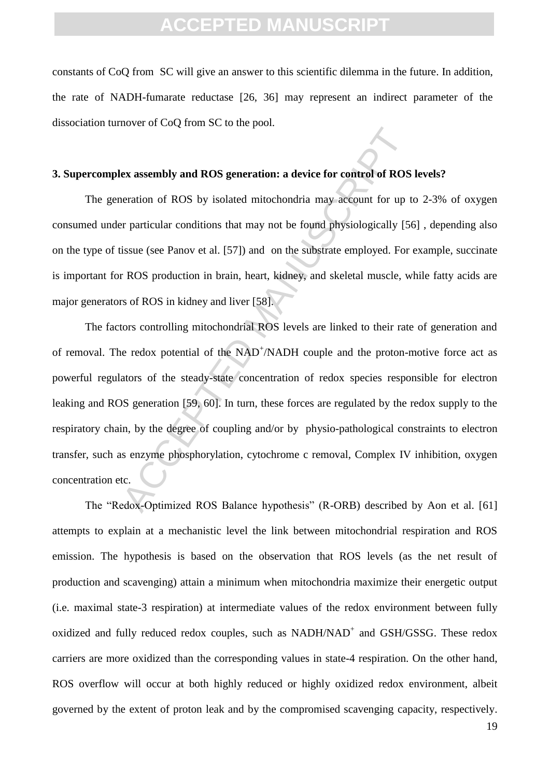constants of CoQ from SC will give an answer to this scientific dilemma in the future. In addition, the rate of NADH-fumarate reductase [\[26,](#page-7-2) [36\]](#page-10-2) may represent an indirect parameter of the dissociation turnover of CoQ from SC to the pool.

#### **3. Supercomplex assembly and ROS generation: a device for control of ROS levels?**

<span id="page-19-0"></span>The generation of ROS by isolated mitochondria may account for up to 2-3% of oxygen consumed under particular conditions that may not be found physiologically [56] , depending also on the type of tissue (see Panov et al. [57]) and on the substrate employed. For example, succinate is important for ROS production in brain, heart, kidney, and skeletal muscle, while fatty acids are major generators of ROS in kidney and liver [58].

Example and ROS generation: a device for control of ROS<br>
neration of ROS by isolated mitochondria may account for up to<br>
representions that may not be found physiologically [50]<br>
issue (see Panov et al. [57]) and on the su The factors controlling mitochondrial ROS levels are linked to their rate of generation and of removal. The redox potential of the NAD<sup>+</sup>/NADH couple and the proton-motive force act as powerful regulators of the steady-state concentration of redox species responsible for electron leaking and ROS generation [59, 60]. In turn, these forces are regulated by the redox supply to the respiratory chain, by the degree of coupling and/or by physio-pathological constraints to electron transfer, such as enzyme phosphorylation, cytochrome c removal, Complex IV inhibition, oxygen concentration etc.

The "Redox-Optimized ROS Balance hypothesis" (R-ORB) described by Aon et al. [61] attempts to explain at a mechanistic level the link between mitochondrial respiration and ROS emission. The hypothesis is based on the observation that ROS levels (as the net result of production and scavenging) attain a minimum when mitochondria maximize their energetic output (i.e. maximal state-3 respiration) at intermediate values of the redox environment between fully oxidized and fully reduced redox couples, such as NADH/NAD<sup>+</sup> and GSH/GSSG. These redox carriers are more oxidized than the corresponding values in state-4 respiration. On the other hand, ROS overflow will occur at both highly reduced or highly oxidized redox environment, albeit governed by the extent of proton leak and by the compromised scavenging capacity, respectively.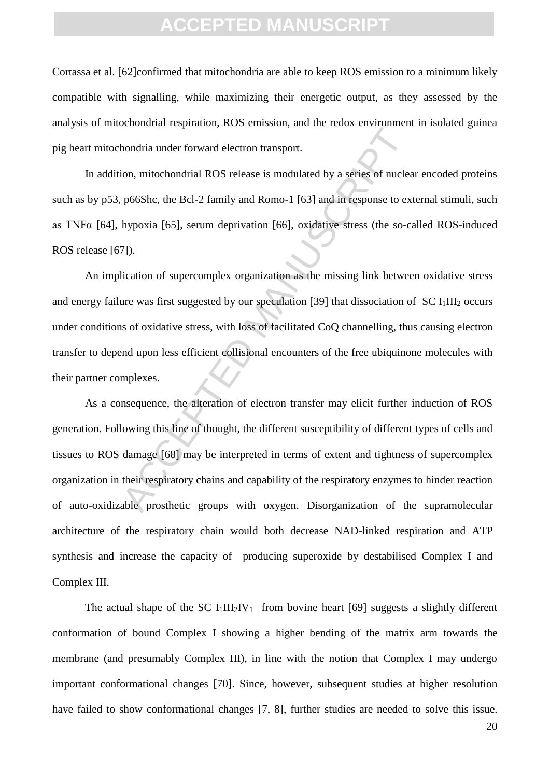Cortassa et al. [62] confirmed that mitochondria are able to keep ROS emission to a minimum likely compatible with signalling, while maximizing their energetic output, as they assessed by the analysis of mitochondrial respiration, ROS emission, and the redox environment in isolated guinea pig heart mitochondria under forward electron transport.

In addition, mitochondrial ROS release is modulated by a series of nuclear encoded proteins such as by p53, p66Shc, the Bcl-2 family and Romo-1 [63] and in response to external stimuli, such as TNFα [64], hypoxia [65], serum deprivation [66], oxidative stress (the so-called ROS-induced ROS release [67]).

An implication of supercomplex organization as the missing link between oxidative stress and energy failure was first suggested by our speculation [39] that dissociation of SC  $I_1III_2$  occurs under conditions of oxidative stress, with loss of facilitated CoQ channelling, thus causing electron transfer to depend upon less efficient collisional encounters of the free ubiquinone molecules with their partner complexes.

Entrancemental and the term of the term of the reading to the pools pools.<br>
(ion, mitochondrial ROS release is modulated by a series of nuclear<br>
pools pools pools are pools by a series of nuclear<br>
hypoxia [65], serum depri As a consequence, the alteration of electron transfer may elicit further induction of ROS generation. Following this line of thought, the different susceptibility of different types of cells and tissues to ROS damage [68] may be interpreted in terms of extent and tightness of supercomplex organization in their respiratory chains and capability of the respiratory enzymes to hinder reaction of auto-oxidizable prosthetic groups with oxygen. Disorganization of the supramolecular architecture of the respiratory chain would both decrease NAD-linked respiration and ATP synthesis and increase the capacity of producing superoxide by destabilised Complex I and Complex III.

The actual shape of the SC  $I_1III_2IV_1$  from bovine heart [69] suggests a slightly different conformation of bound Complex I showing a higher bending of the matrix arm towards the membrane (and presumably Complex III), in line with the notion that Complex I may undergo important conformational changes [70]. Since, however, subsequent studies at higher resolution have failed to show conformational changes [\[7,](#page-3-3) [8\]](#page-3-4), further studies are needed to solve this issue.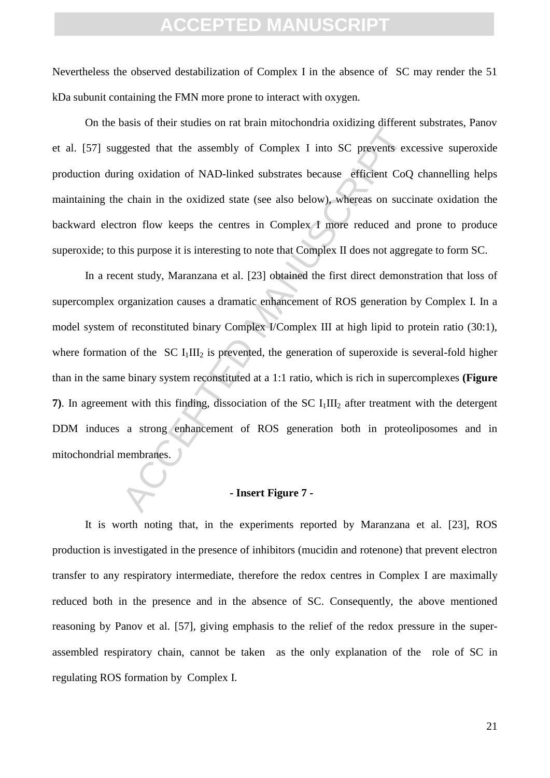Nevertheless the observed destabilization of Complex I in the absence of SC may render the 51 kDa subunit containing the FMN more prone to interact with oxygen.

On the basis of their studies on rat brain mitochondria oxidizing different substrates, Panov et al. [\[57\]](#page-19-0) suggested that the assembly of Complex I into SC prevents excessive superoxide production during oxidation of NAD-linked substrates because efficient CoQ channelling helps maintaining the chain in the oxidized state (see also below), whereas on succinate oxidation the backward electron flow keeps the centres in Complex I more reduced and prone to produce superoxide; to this purpose it is interesting to note that Complex II does not aggregate to form SC.

Example and Manuscritude and Manuscritude and Manuscritude Secure<br>
Superior and Manuscript CoO echain in the oxidized state (see also below), whereas on succe<br>
tron flow keeps the centres in Complex I more reduced and<br>
thi In a recent study, Maranzana et al. [23] obtained the first direct demonstration that loss of supercomplex organization causes a dramatic enhancement of ROS generation by Complex I. In a model system of reconstituted binary Complex I/Complex III at high lipid to protein ratio (30:1), where formation of the  $SC I_1III_2$  is prevented, the generation of superoxide is several-fold higher than in the same binary system reconstituted at a 1:1 ratio, which is rich in supercomplexes **(Figure 7**). In agreement with this finding, dissociation of the SC  $I_1III_2$  after treatment with the detergent DDM induces a strong enhancement of ROS generation both in proteoliposomes and in mitochondrial membranes.

#### **- Insert Figure 7 -**

It is worth noting that, in the experiments reported by Maranzana et al. [\[23\]](#page-5-3), ROS production is investigated in the presence of inhibitors (mucidin and rotenone) that prevent electron transfer to any respiratory intermediate, therefore the redox centres in Complex I are maximally reduced both in the presence and in the absence of SC. Consequently, the above mentioned reasoning by Panov et al. [\[57\]](#page-19-0), giving emphasis to the relief of the redox pressure in the superassembled respiratory chain, cannot be taken as the only explanation of the role of SC in regulating ROS formation by Complex I.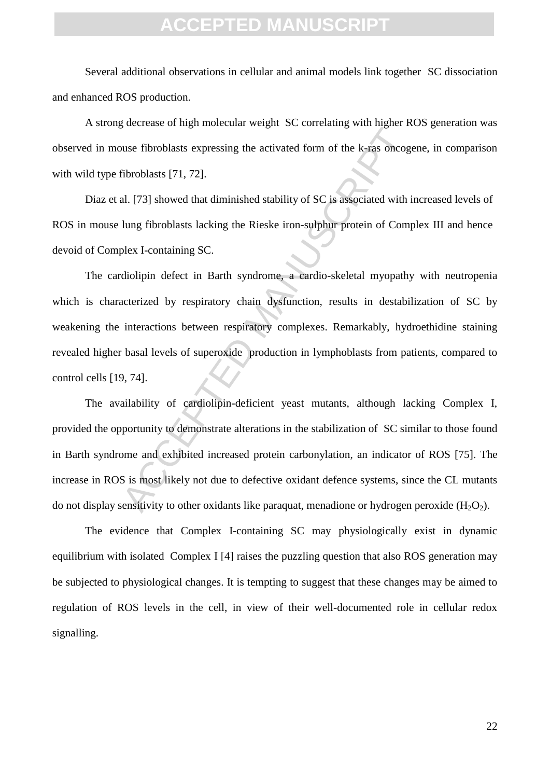Several additional observations in cellular and animal models link together SC dissociation and enhanced ROS production.

A strong decrease of high molecular weight SC correlating with higher ROS generation was observed in mouse fibroblasts expressing the activated form of the k-ras oncogene, in comparison with wild type fibroblasts [71, 72].

<span id="page-22-0"></span>Diaz et al. [73] showed that diminished stability of SC is associated with increased levels of ROS in mouse lung fibroblasts lacking the Rieske iron-sulphur protein of Complex III and hence devoid of Complex I-containing SC.

The cardiolipin defect in Barth syndrome, a cardio-skeletal myopathy with neutropenia which is characterized by respiratory chain dysfunction, results in destabilization of SC by weakening the interactions between respiratory complexes. Remarkably, hydroethidine staining revealed higher basal levels of superoxide production in lymphoblasts from patients, compared to control cells [\[19,](#page-5-4) 74].

Example and the strainer of the k-ras oncognism of the straining in the straining in the strain of the strain of the strain of fibroblasts [71, 72].<br>
Al. [73] showed that diminished stability of SC is associated with i<br>
lu The availability of cardiolipin-deficient yeast mutants, although lacking Complex I, provided the opportunity to demonstrate alterations in the stabilization of SC similar to those found in Barth syndrome and exhibited increased protein carbonylation, an indicator of ROS [75]. The increase in ROS is most likely not due to defective oxidant defence systems, since the CL mutants do not display sensitivity to other oxidants like paraquat, menadione or hydrogen peroxide  $(H_2O_2)$ .

The evidence that Complex I-containing SC may physiologically exist in dynamic equilibrium with isolated Complex I [\[4\]](#page-3-2) raises the puzzling question that also ROS generation may be subjected to physiological changes. It is tempting to suggest that these changes may be aimed to regulation of ROS levels in the cell, in view of their well-documented role in cellular redox signalling.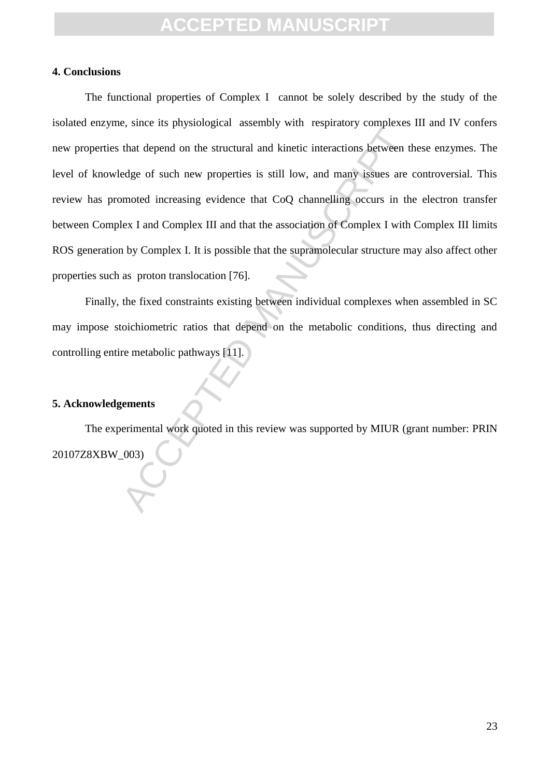#### **4. Conclusions**

Acceleration of the structural and kinetic interactions between the depend on the structural and kinetic interactions between the dege of such new properties is still low, and many issues are moted increasing evidence that The functional properties of Complex I cannot be solely described by the study of the isolated enzyme, since its physiological assembly with respiratory complexes III and IV confers new properties that depend on the structural and kinetic interactions between these enzymes. The level of knowledge of such new properties is still low, and many issues are controversial. This review has promoted increasing evidence that CoQ channelling occurs in the electron transfer between Complex I and Complex III and that the association of Complex I with Complex III limits ROS generation by Complex I. It is possible that the supramolecular structure may also affect other properties such as proton translocation [76].

Finally, the fixed constraints existing between individual complexes when assembled in SC may impose stoichiometric ratios that depend on the metabolic conditions, thus directing and controlling entire metabolic pathways [11].

#### **5. Acknowledgements**

The experimental work quoted in this review was supported by MIUR (grant number: PRIN 20107Z8XBW\_003)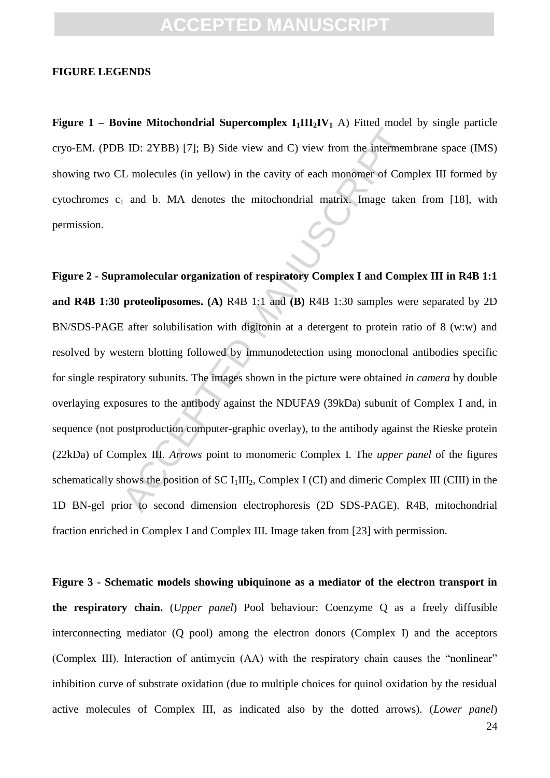#### **FIGURE LEGENDS**

**Figure 1 – Bovine Mitochondrial Supercomplex**  $I_1III_2IV_1$  **A) Fitted model by single particle** cryo-EM. (PDB ID: 2YBB) [7]; B) Side view and C) view from the intermembrane space (IMS) showing two CL molecules (in yellow) in the cavity of each monomer of Complex III formed by cytochromes  $c_1$  and b. MA denotes the mitochondrial matrix. Image taken from [\[18\]](#page-5-5), with permission.

ALL MANUSCRIPT SUPPOSE TO A THE MANUSCRIPT OF A THE MANUSCRIPT AND ALL MOLECULES (in yellow) in the cavity of each monomer of Com<br>
1 and b. MA denotes the mitochondrial matrix. Image taker<br> **Transference is a matrix of th Figure 2 - Supramolecular organization of respiratory Complex I and Complex III in R4B 1:1 and R4B 1:30 proteoliposomes. (A)** R4B 1:1 and **(B)** R4B 1:30 samples were separated by 2D BN/SDS-PAGE after solubilisation with digitonin at a detergent to protein ratio of 8 (w:w) and resolved by western blotting followed by immunodetection using monoclonal antibodies specific for single respiratory subunits. The images shown in the picture were obtained *in camera* by double overlaying exposures to the antibody against the NDUFA9 (39kDa) subunit of Complex I and, in sequence (not postproduction computer-graphic overlay), to the antibody against the Rieske protein (22kDa) of Complex III. *Arrows* point to monomeric Complex I. The *upper panel* of the figures schematically shows the position of SC  $I_1III_2$ , Complex I (CI) and dimeric Complex III (CIII) in the 1D BN-gel prior to second dimension electrophoresis (2D SDS-PAGE). R4B, mitochondrial fraction enriched in Complex I and Complex III. Image taken from [\[23\]](#page-5-3) with permission.

**Figure 3 - Schematic models showing ubiquinone as a mediator of the electron transport in the respiratory chain.** (*Upper panel*) Pool behaviour: Coenzyme Q as a freely diffusible interconnecting mediator (Q pool) among the electron donors (Complex I) and the acceptors (Complex III). Interaction of antimycin (AA) with the respiratory chain causes the "nonlinear" inhibition curve of substrate oxidation (due to multiple choices for quinol oxidation by the residual active molecules of Complex III, as indicated also by the dotted arrows). (*Lower panel*)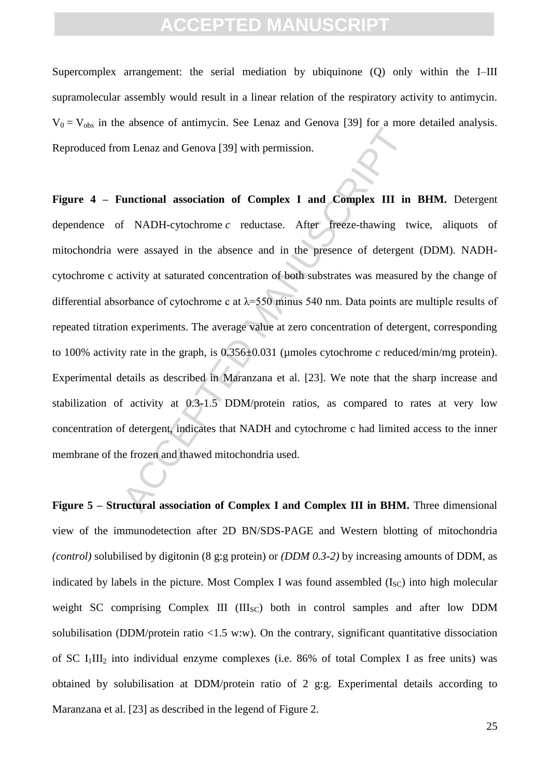Supercomplex arrangement: the serial mediation by ubiquinone (Q) only within the I–III supramolecular assembly would result in a linear relation of the respiratory activity to antimycin.  $V_0 = V_{obs}$  in the absence of antimycin. See Lenaz and Genova [39] for a more detailed analysis. Reproduced from Lenaz and Genova [39] with permission.

Example 21 and 39] with permission.<br>
Unctional association of Complex I and Complex III in<br>
f NADH-cytochrome c reductase. After freeze-thawing twee<br>
were assayed in the absence and in the presence of detergent<br>
city at s **Figure 4 – Functional association of Complex I and Complex III in BHM.** Detergent dependence of NADH-cytochrome *c* reductase. After freeze-thawing twice, aliquots of mitochondria were assayed in the absence and in the presence of detergent (DDM). NADHcytochrome c activity at saturated concentration of both substrates was measured by the change of differential absorbance of cytochrome c at  $\lambda$ =550 minus 540 nm. Data points are multiple results of repeated titration experiments. The average value at zero concentration of detergent, corresponding to 100% activity rate in the graph, is 0.356±0.031 (µmoles cytochrome *c* reduced/min/mg protein). Experimental details as described in Maranzana et al. [23]. We note that the sharp increase and stabilization of activity at 0.3-1.5 DDM/protein ratios, as compared to rates at very low concentration of detergent, indicates that NADH and cytochrome c had limited access to the inner membrane of the frozen and thawed mitochondria used.

**Figure 5 – Structural association of Complex I and Complex III in BHM.** Three dimensional view of the immunodetection after 2D BN/SDS-PAGE and Western blotting of mitochondria *(control)* solubilised by digitonin (8 g:g protein) or *(DDM 0.3-2)* by increasing amounts of DDM, as indicated by labels in the picture. Most Complex I was found assembled  $(I<sub>SC</sub>)$  into high molecular weight SC comprising Complex III (III<sub>SC</sub>) both in control samples and after low DDM solubilisation (DDM/protein ratio  $\langle 1.5 \text{ w:w} \rangle$ ). On the contrary, significant quantitative dissociation of SC  $I_1III_2$  into individual enzyme complexes (i.e. 86% of total Complex I as free units) was obtained by solubilisation at DDM/protein ratio of 2 g:g. Experimental details according to Maranzana et al. [\[23\]](#page-5-3) as described in the legend of Figure 2.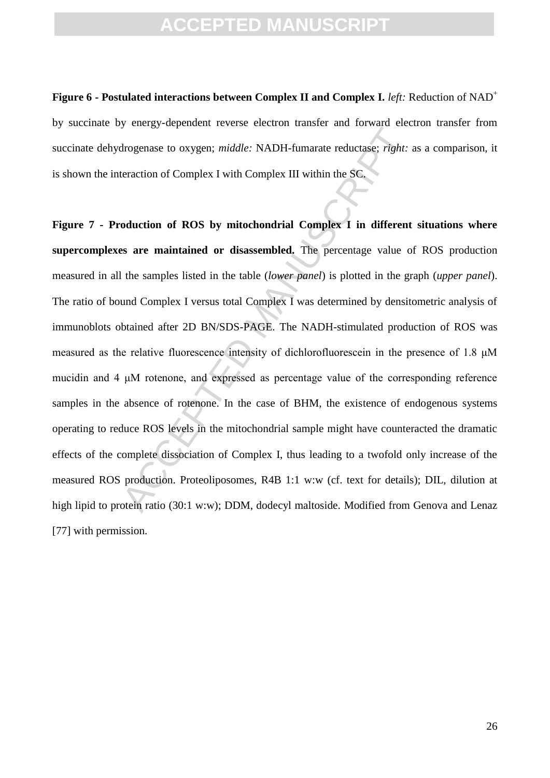**Figure 6 - Postulated interactions between Complex II and Complex I.** *left:* Reduction of NAD<sup>+</sup> by succinate by energy-dependent reverse electron transfer and forward electron transfer from succinate dehydrogenase to oxygen; *middle:* NADH-fumarate reductase; *right:* as a comparison, it is shown the interaction of Complex I with Complex III within the SC.

France to oxygen; *middle:* NADH-fumarate reductase; *right:*<br>trogenase to oxygen; *middle:* NADH-fumarate reductase; *right:*<br>ceraction of Complex I with Complex III within the SC,<br>oduction of ROS by mitochondrial Comple **Figure 7 - Production of ROS by mitochondrial Complex I in different situations where supercomplexes are maintained or disassembled.** The percentage value of ROS production measured in all the samples listed in the table (*lower panel*) is plotted in the graph (*upper panel*). The ratio of bound Complex I versus total Complex I was determined by densitometric analysis of immunoblots obtained after 2D BN/SDS-PAGE. The NADH-stimulated production of ROS was measured as the relative fluorescence intensity of dichlorofluorescein in the presence of 1.8 μM mucidin and 4 μM rotenone, and expressed as percentage value of the corresponding reference samples in the absence of rotenone. In the case of BHM, the existence of endogenous systems operating to reduce ROS levels in the mitochondrial sample might have counteracted the dramatic effects of the complete dissociation of Complex I, thus leading to a twofold only increase of the measured ROS production. Proteoliposomes, R4B 1:1 w:w (cf. text for details); DIL, dilution at high lipid to protein ratio (30:1 w:w); DDM, dodecyl maltoside. Modified from Genova and Lenaz [77] with permission.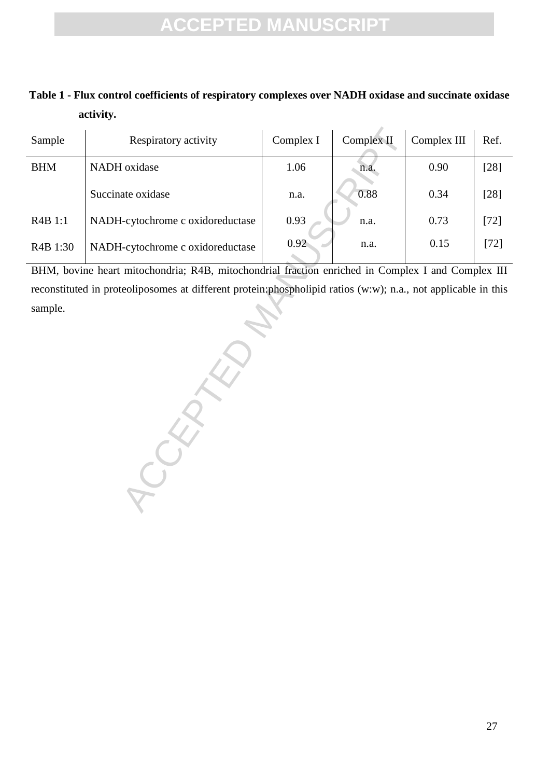### **Table 1 - Flux control coefficients of respiratory complexes over NADH oxidase and succinate oxidase activity.**

| Sample     | Respiratory activity             | Complex I | Complex $\Pi$ | Complex III | Ref.   |
|------------|----------------------------------|-----------|---------------|-------------|--------|
| <b>BHM</b> | NADH oxidase                     | 1.06      | n.a.          | 0.90        | $[28]$ |
|            | Succinate oxidase                | n.a.      | 0.88          | 0.34        | $[28]$ |
| R4B 1:1    | NADH-cytochrome c oxidoreductase | 0.93      | n.a.          | 0.73        | $[72]$ |
| R4B 1:30   | NADH-cytochrome c oxidoreductase | 0.92      | n.a.          | 0.15        | $[72]$ |

RECEPTED BHM, bovine heart mitochondria; R4B, mitochondrial fraction enriched in Complex I and Complex III reconstituted in proteoliposomes at different protein:phospholipid ratios (w:w); n.a., not applicable in this sample.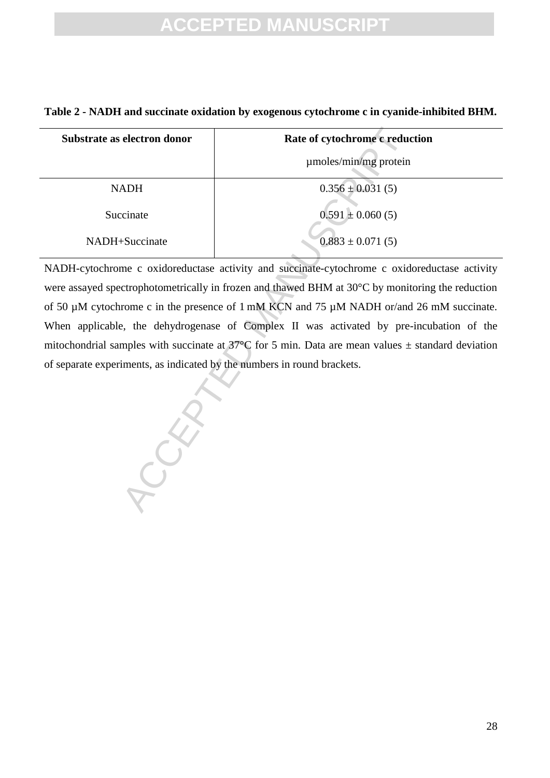| Substrate as electron donor                                                                                     | Rate of cytochrome c reduction |  |  |  |  |
|-----------------------------------------------------------------------------------------------------------------|--------------------------------|--|--|--|--|
|                                                                                                                 | umoles/min/mg protein          |  |  |  |  |
| <b>NADH</b>                                                                                                     | $0.356 \pm 0.031(5)$           |  |  |  |  |
| Succinate                                                                                                       | $0.591 \pm 0.060(5)$           |  |  |  |  |
| NADH+Succinate                                                                                                  | $0.883 \pm 0.071(5)$           |  |  |  |  |
| NADH-cytochrome c oxidoreductase activity and succinate-cytochrome c oxidoreductase activity                    |                                |  |  |  |  |
| were assayed spectrophotometrically in frozen and thawed BHM at 30°C by monitoring the reduction                |                                |  |  |  |  |
| of 50 μM cytochrome c in the presence of 1 mM KCN and 75 μM NADH or/and 26 mM succinate.                        |                                |  |  |  |  |
| When applicable, the dehydrogenase of Complex II was activated by pre-incubation of the                         |                                |  |  |  |  |
| mitochondrial samples with succinate at 37 $\degree$ C for 5 min. Data are mean values $\pm$ standard deviation |                                |  |  |  |  |
| of separate experiments, as indicated by the numbers in round brackets.                                         |                                |  |  |  |  |
|                                                                                                                 |                                |  |  |  |  |

**Table 2 - NADH and succinate oxidation by exogenous cytochrome c in cyanide-inhibited BHM.**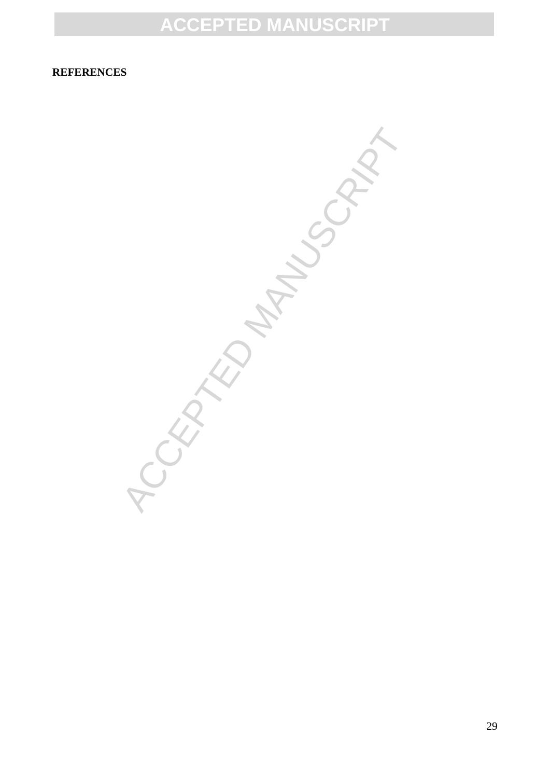#### **REFERENCES**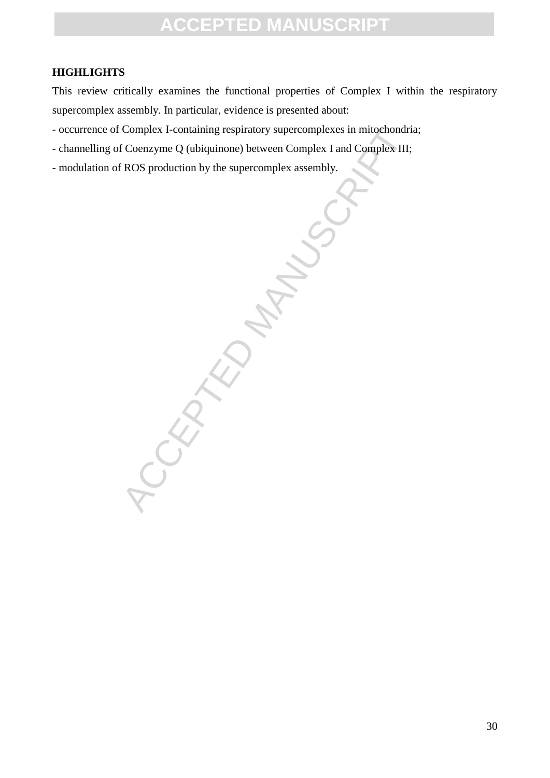#### **HIGHLIGHTS**

This review critically examines the functional properties of Complex I within the respiratory supercomplex assembly. In particular, evidence is presented about:

- occurrence of Complex I-containing respiratory supercomplexes in mitochondria;
- channelling of Coenzyme Q (ubiquinone) between Complex I and Complex III;
- modulation of ROS production by the supercomplex assembly.

CCEPTED M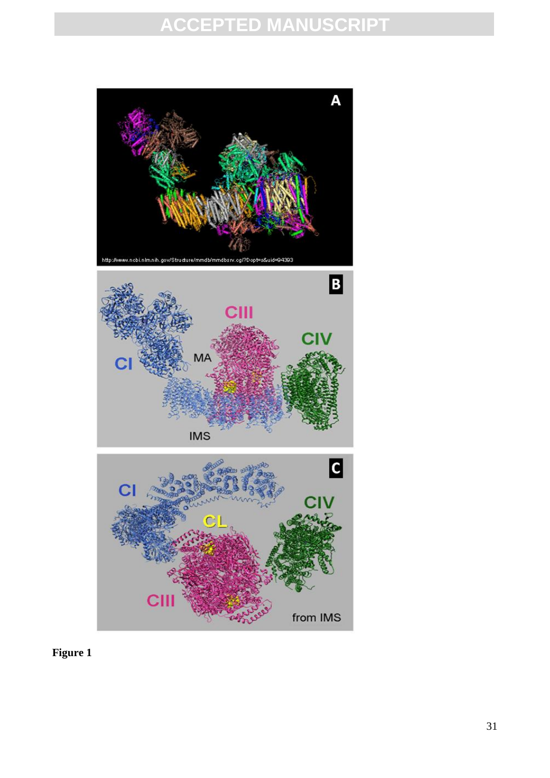

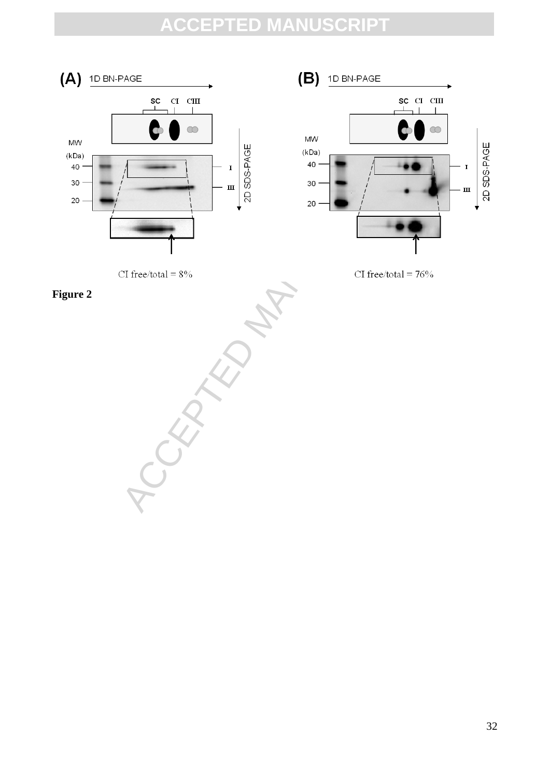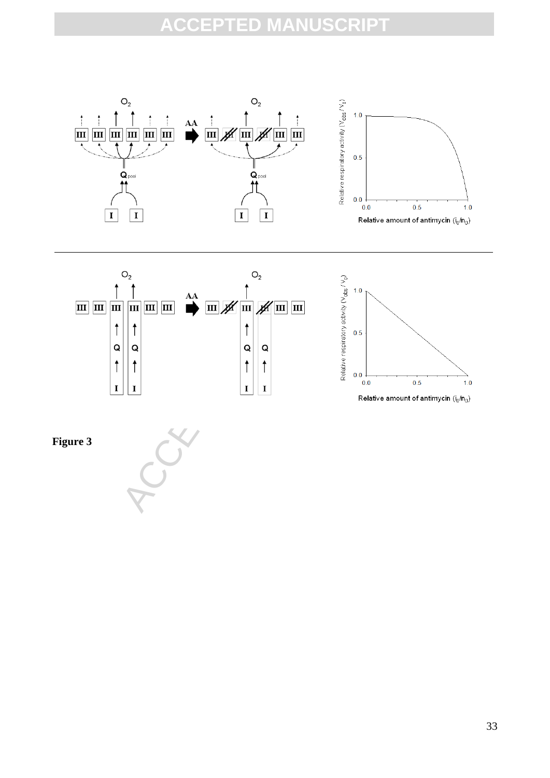



### **Figure 3**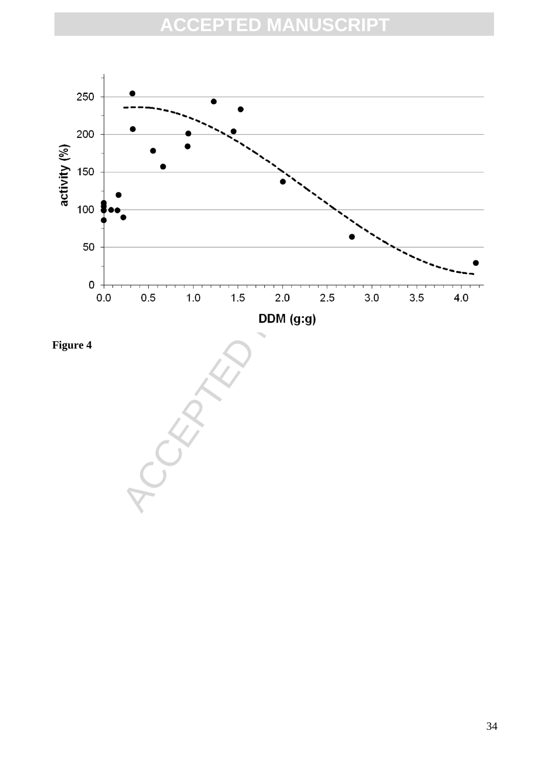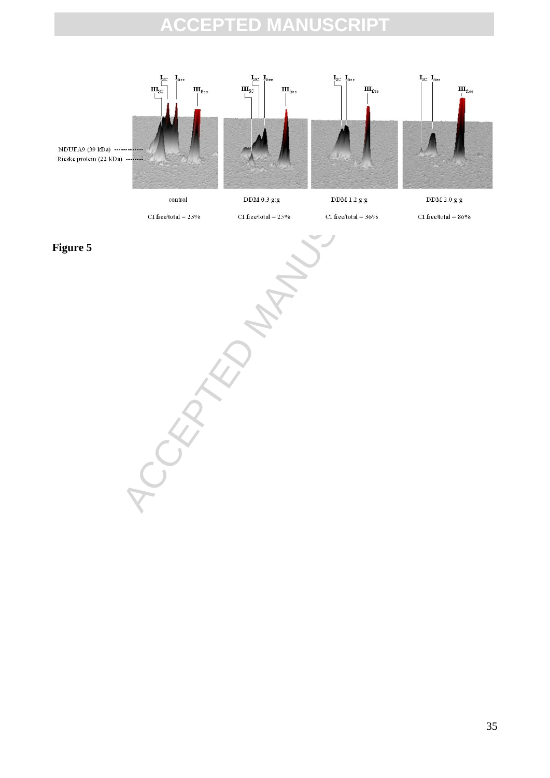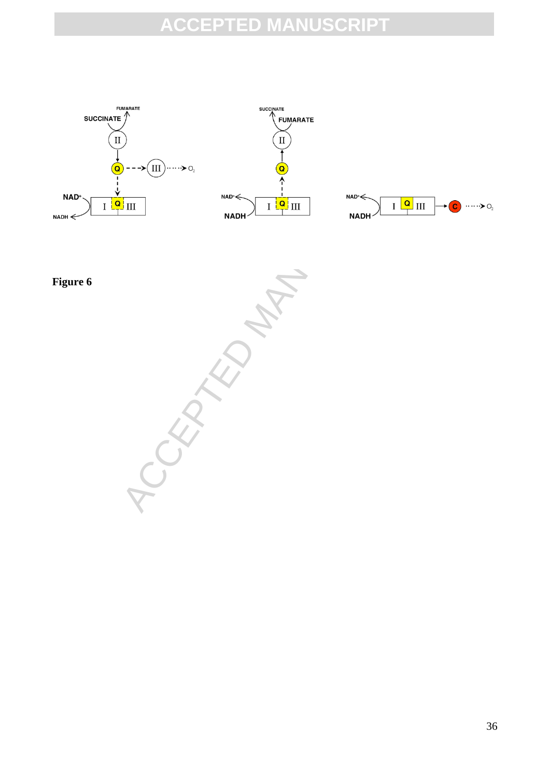





**Figure 6**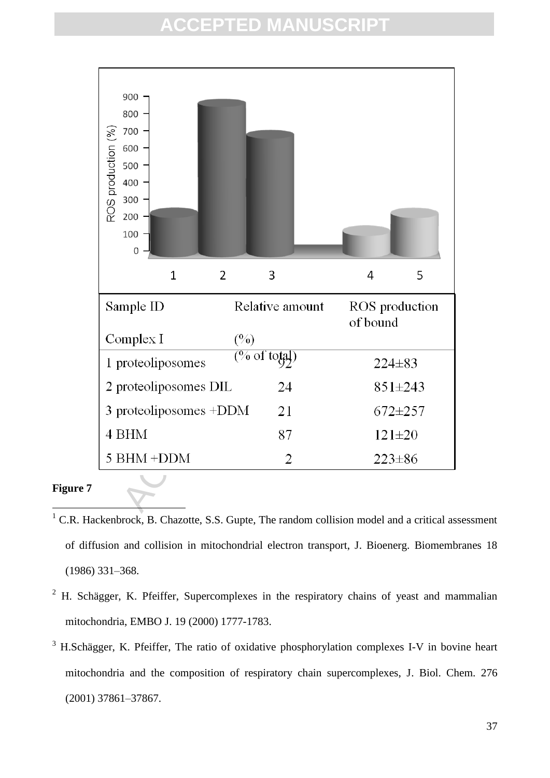

#### **Figure 7**

1

- $1$  C.R. Hackenbrock, B. Chazotte, S.S. Gupte, The random collision model and a critical assessment of diffusion and collision in mitochondrial electron transport, J. Bioenerg. Biomembranes 18 (1986) 331–368.
- <sup>2</sup> H. Schägger, K. Pfeiffer, Supercomplexes in the respiratory chains of yeast and mammalian mitochondria, EMBO J. 19 (2000) 1777-1783.
- <sup>3</sup> H.Schägger, K. Pfeiffer, The ratio of oxidative phosphorylation complexes I-V in bovine heart mitochondria and the composition of respiratory chain supercomplexes, J. Biol. Chem. 276 (2001) 37861–37867.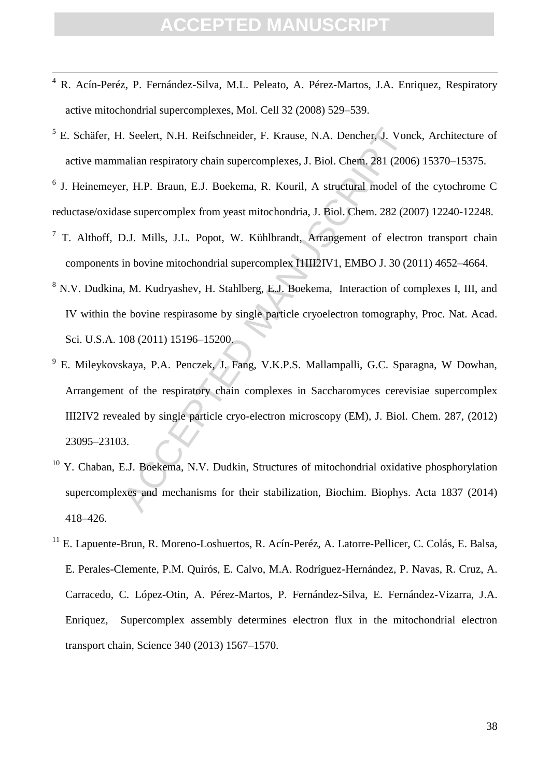<sup>4</sup> R. Acín-Peréz, P. Fernández-Silva, M.L. Peleato, A. Pérez-Martos, J.A. Enriquez, Respiratory active mitochondrial supercomplexes, Mol. Cell 32 (2008) 529–539.

<u>.</u>

5 E. Schäfer, H. Seelert, N.H. Reifschneider, F. Krause, N.A. Dencher, J. Vonck, Architecture of active mammalian respiratory chain supercomplexes, J. Biol. Chem. 281 (2006) 15370–15375.

<sup>6</sup> J. Heinemeyer, H.P. Braun, E.J. Boekema, R. Kouril, A structural model of the cytochrome C reductase/oxidase supercomplex from yeast mitochondria, J. Biol. Chem. 282 (2007) 12240-12248.

- $7$  T. Althoff, D.J. Mills, J.L. Popot, W. Kühlbrandt, Arrangement of electron transport chain components in bovine mitochondrial supercomplex I1III2IV1, EMBO J. 30 (2011) 4652–4664.
- <sup>8</sup> N.V. Dudkina, M. Kudryashev, H. Stahlberg, E.J. Boekema, Interaction of complexes I, III, and IV within the bovine respirasome by single particle cryoelectron tomography, Proc. Nat. Acad. Sci. U.S.A. 108 (2011) 15196–15200.
- I. Seelert, N.H. Reifschneider, F. Krause, N.A. Dencher, J. Vonnalian respiratory chain supercomplexes, J. Biol. Chem. 281 (200<br>
1. H.P. Braun, E.J. Boekema, R. Kouril, A structural model of<br>
1. Biol. Chem. 282 (20<br>
1. Mil 9 E. Mileykovskaya, P.A. Penczek, J. Fang, V.K.P.S. Mallampalli, G.C. Sparagna, W Dowhan, Arrangement of the respiratory chain complexes in Saccharomyces cerevisiae supercomplex III2IV2 revealed by single particle cryo-electron microscopy (EM), J. Biol. Chem. 287, (2012) 23095–23103.
- Y. Chaban, E.J. Boekema, N.V. Dudkin, Structures of mitochondrial oxidative phosphorylation supercomplexes and mechanisms for their stabilization, Biochim. Biophys. Acta 1837 (2014) 418–426.
- <sup>11</sup> E. Lapuente-Brun, R. Moreno-Loshuertos, R. Acín-Peréz, A. Latorre-Pellicer, C. Colás, E. Balsa, E. Perales-Clemente, P.M. Quirós, E. Calvo, M.A. Rodríguez-Hernández, P. Navas, R. Cruz, A. Carracedo, C. López-Otin, A. Pérez-Martos, P. Fernández-Silva, E. Fernández-Vizarra, J.A. Enriquez, Supercomplex assembly determines electron flux in the mitochondrial electron transport chain, Science 340 (2013) 1567–1570.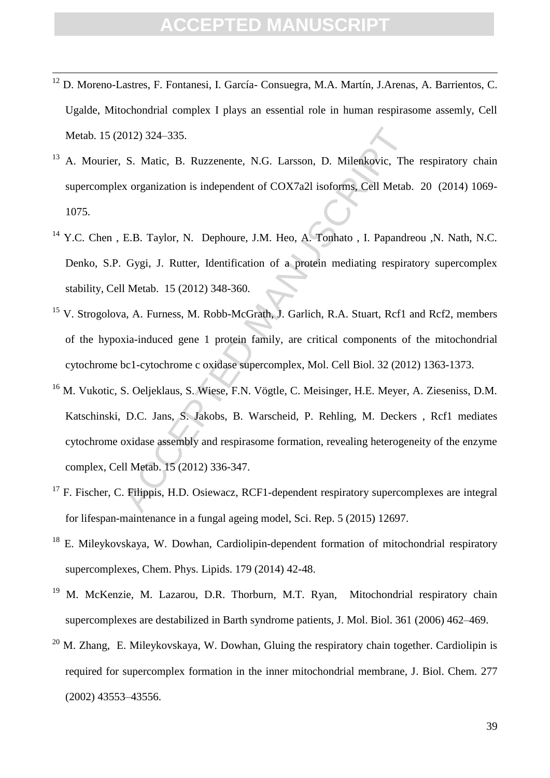<sup>12</sup> D. Moreno-Lastres, F. Fontanesi, I. García- Consuegra, M.A. Martín, J.Arenas, A. Barrientos, C. Ugalde, Mitochondrial complex I plays an essential role in human respirasome assemly, Cell Metab. 15 (2012) 324–335.

<u>.</u>

- <sup>13</sup> A. Mourier, S. Matic, B. Ruzzenente, N.G. Larsson, D. Milenkovic, The respiratory chain supercomplex organization is independent of COX7a2l isoforms, Cell Metab. 20 (2014) 1069- 1075.
- <sup>14</sup> Y.C. Chen, E.B. Taylor, N. Dephoure, J.M. Heo, A. Tonhato, I. Papandreou ,N. Nath, N.C. Denko, S.P. Gygi, J. Rutter, Identification of a protein mediating respiratory supercomplex stability, Cell Metab. 15 (2012) 348-360.
- <sup>15</sup> V. Strogolova, A. Furness, M. Robb-McGrath, J. Garlich, R.A. Stuart, Rcf1 and Rcf2, members of the hypoxia-induced gene 1 protein family, are critical components of the mitochondrial cytochrome bc1-cytochrome c oxidase supercomplex, Mol. Cell Biol. 32 (2012) 1363-1373.
- 2012) 324–335.<br>
S. Matic, B. Ruzzenente, N.G. Larsson, D. Milenkovic, The<br>
x organization is independent of COX7a2l isoforms, Cell Metab.<br>
E.B. Taylor, N. Dephoure, J.M. Heo, A. Tonhato, I. Papandra<br>
Gygi, J. Rutter, Ident <sup>16</sup> M. Vukotic, S. Oeljeklaus, S. Wiese, F.N. Vögtle, C. Meisinger, H.E. Meyer, A. Zieseniss, D.M. Katschinski, D.C. Jans, S. Jakobs, B. Warscheid, P. Rehling, M. Deckers , Rcf1 mediates cytochrome oxidase assembly and respirasome formation, revealing heterogeneity of the enzyme complex, Cell Metab. 15 (2012) 336-347.
- $17$  F. Fischer, C. Filippis, H.D. Osiewacz, RCF1-dependent respiratory supercomplexes are integral for lifespan-maintenance in a fungal ageing model, Sci. Rep. 5 (2015) 12697.
- <sup>18</sup> E. Mileykovskaya, W. Dowhan, Cardiolipin-dependent formation of mitochondrial respiratory supercomplexes, Chem. Phys. Lipids. 179 (2014) 42-48.
- <sup>19</sup> M. McKenzie, M. Lazarou, D.R. Thorburn, M.T. Ryan, Mitochondrial respiratory chain supercomplexes are destabilized in Barth syndrome patients, J. Mol. Biol. 361 (2006) 462–469.
- M. Zhang, E. Mileykovskaya, W. Dowhan, Gluing the respiratory chain together. Cardiolipin is required for supercomplex formation in the inner mitochondrial membrane, J. Biol. Chem. 277 (2002) 43553–43556.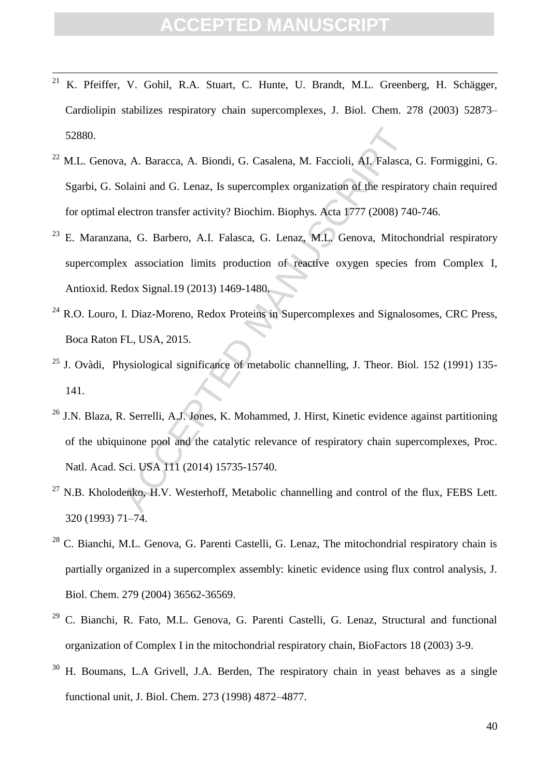- $21\,$ <sup>21</sup> K. Pfeiffer, V. Gohil, R.A. Stuart, C. Hunte, U. Brandt, M.L. Greenberg, H. Schägger, Cardiolipin stabilizes respiratory chain supercomplexes, J. Biol. Chem. 278 (2003) 52873– 52880.
- a, A. Baracca, A. Biondi, G. Casalena, M. Faccioli, Al. Falasca, olaini and G. Lenaz, Is supercomplex organization of the respirate<br>electron transfer activity? Biochim. Biophys. Acta 1777 (2008) 74<br>aa, G. Barbero, A.I. Fal <sup>22</sup> M.L. Genova, A. Baracca, A. Biondi, G. Casalena, M. Faccioli, AI. Falasca, G. Formiggini, G. Sgarbi, G. Solaini and G. Lenaz, Is supercomplex organization of the respiratory chain required for optimal electron transfer activity? Biochim. Biophys. Acta 1777 (2008) 740-746.
- <sup>23</sup> E. Maranzana, G. Barbero, A.I. Falasca, G. Lenaz, M.L. Genova, Mitochondrial respiratory supercomplex association limits production of reactive oxygen species from Complex I, Antioxid. Redox Signal.19 (2013) 1469-1480.
- <sup>24</sup> R.O. Louro, I. Diaz-Moreno, Redox Proteins in Supercomplexes and Signalosomes, CRC Press, Boca Raton FL, USA, 2015.
- <sup>25</sup> J. Ovàdi, Physiological significance of metabolic channelling, J. Theor. Biol. 152 (1991) 135-141.
- <sup>26</sup> J.N. Blaza, R. Serrelli, A.J. Jones, K. Mohammed, J. Hirst, Kinetic evidence against partitioning of the ubiquinone pool and the catalytic relevance of respiratory chain supercomplexes, Proc. Natl. Acad. Sci. USA 111 (2014) 15735-15740.
- $^{27}$  N.B. Kholodenko, H.V. Westerhoff, Metabolic channelling and control of the flux, FEBS Lett. 320 (1993) 71–74.
- $28$  C. Bianchi, M.L. Genova, G. Parenti Castelli, G. Lenaz, The mitochondrial respiratory chain is partially organized in a supercomplex assembly: kinetic evidence using flux control analysis, J. Biol. Chem. 279 (2004) 36562-36569.
- <sup>29</sup> C. Bianchi, R. Fato, M.L. Genova, G. Parenti Castelli, G. Lenaz, Structural and functional organization of Complex I in the mitochondrial respiratory chain, BioFactors 18 (2003) 3-9.
- $30$  H. Boumans, L.A Grivell, J.A. Berden, The respiratory chain in yeast behaves as a single functional unit, J. Biol. Chem. 273 (1998) 4872–4877.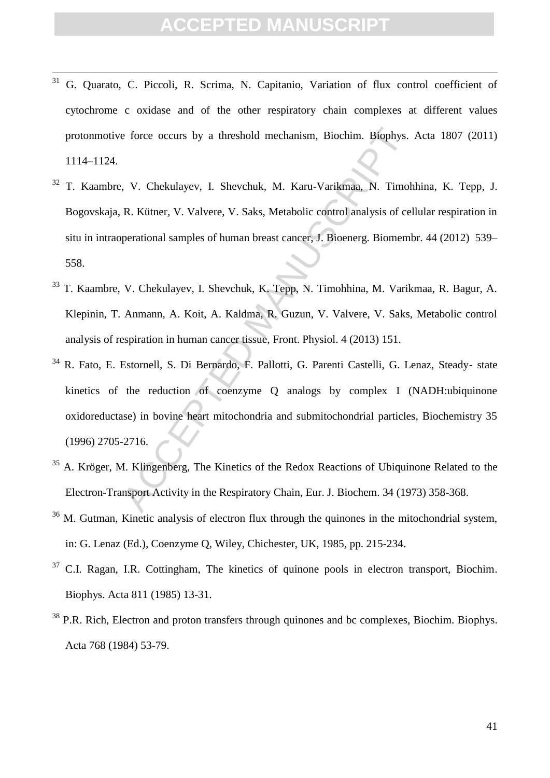- $31\,$ <sup>31</sup> G. Quarato, C. Piccoli, R. Scrima, N. Capitanio, Variation of flux control coefficient of cytochrome c oxidase and of the other respiratory chain complexes at different values protonmotive force occurs by a threshold mechanism, Biochim. Biophys. Acta 1807 (2011) 1114–1124.
- <sup>32</sup> T. Kaambre, V. Chekulayev, I. Shevchuk, M. Karu-Varikmaa, N. Timohhina, K. Tepp, J. Bogovskaja, R. Kütner, V. Valvere, V. Saks, Metabolic control analysis of cellular respiration in situ in intraoperational samples of human breast cancer, J. Bioenerg. Biomembr. 44 (2012) 539– 558.
- <sup>33</sup> T. Kaambre, V. Chekulayev, I. Shevchuk, K. Tepp, N. Timohhina, M. Varikmaa, R. Bagur, A. Klepinin, T. Anmann, A. Koit, A. Kaldma, R. Guzun, V. Valvere, V. Saks, Metabolic control analysis of respiration in human cancer tissue, Front. Physiol. 4 (2013) 151.
- e force occurs by a threshold mechanism, Biochim. Biophys.<br>
V. V. Chekulayev, I. Shevchuk, M. Karu-Varikmaa, N. Timol<br>
R. Kütner, V. Valvere, V. Saks, Metabolic control analysis of ce<br>
perational samples of human breast ca <sup>34</sup> R. Fato, E. Estornell, S. Di Bernardo, F. Pallotti, G. Parenti Castelli, G. Lenaz, Steady- state kinetics of the reduction of coenzyme Q analogs by complex I (NADH:ubiquinone oxidoreductase) in bovine heart mitochondria and submitochondrial particles, Biochemistry 35 (1996) 2705-2716.
- <sup>35</sup> A. Kröger, M. Klingenberg, The Kinetics of the Redox Reactions of Ubiquinone Related to the Electron-Transport Activity in the Respiratory Chain, Eur. J. Biochem. 34 (1973) 358-368.
- <sup>36</sup> M. Gutman, Kinetic analysis of electron flux through the quinones in the mitochondrial system, in: G. Lenaz (Ed.), Coenzyme Q, Wiley, Chichester, UK, 1985, pp. 215-234.
- $37$  C.I. Ragan, I.R. Cottingham, The kinetics of quinone pools in electron transport, Biochim. Biophys. Acta 811 (1985) 13-31.
- <sup>38</sup> P.R. Rich, Electron and proton transfers through quinones and bc complexes, Biochim. Biophys. Acta 768 (1984) 53-79.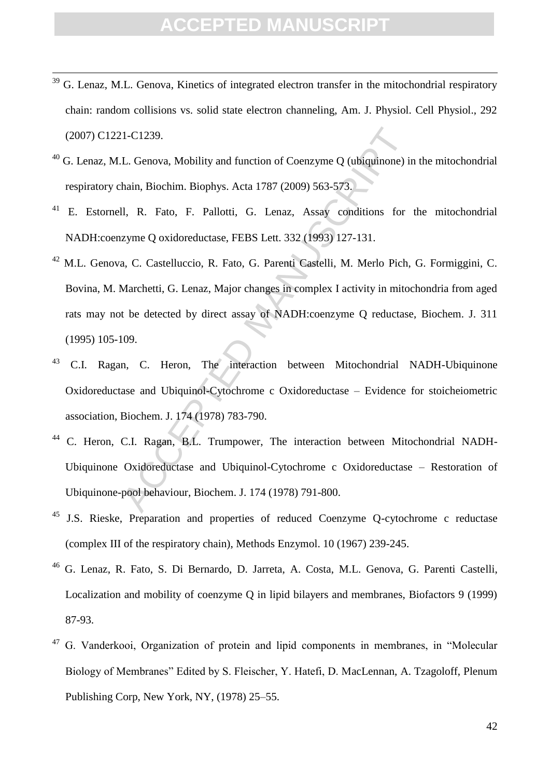- <u>.</u>  $39$  G. Lenaz, M.L. Genova, Kinetics of integrated electron transfer in the mitochondrial respiratory chain: random collisions vs. solid state electron channeling, Am. J. Physiol. Cell Physiol., 292 (2007) C1221-C1239.
- <sup>40</sup> G. Lenaz, M.L. Genova, Mobility and function of Coenzyme Q (ubiquinone) in the mitochondrial respiratory chain, Biochim. Biophys. Acta 1787 (2009) 563-573.
- <sup>41</sup> E. Estornell, R. Fato, F. Pallotti, G. Lenaz, Assay conditions for the mitochondrial NADH:coenzyme Q oxidoreductase, FEBS Lett. 332 (1993) 127-131.
- 11-C1239.<br>
L. Genova, Mobility and function of Coenzyme Q (ubiquinone) in<br>
hain, Biochim. Biophys. Acta 1787 (2009) 563-573.<br>
II, R. Fato, F. Pallotti, G. Lenaz, Assay conditions for<br>
zyme Q oxidoreductase, FEBS Lett. 332 <sup>42</sup> M.L. Genova, C. Castelluccio, R. Fato, G. Parenti Castelli, M. Merlo Pich, G. Formiggini, C. Bovina, M. Marchetti, G. Lenaz, Major changes in complex I activity in mitochondria from aged rats may not be detected by direct assay of NADH:coenzyme Q reductase, Biochem. J. 311 (1995) 105-109.
- <sup>43</sup> C.I. Ragan, C. Heron, The interaction between Mitochondrial NADH-Ubiquinone Oxidoreductase and Ubiquinol-Cytochrome c Oxidoreductase – Evidence for stoicheiometric association, Biochem. J. 174 (1978) 783-790.
- <sup>44</sup> C. Heron, C.I. Ragan, B.L. Trumpower, The interaction between Mitochondrial NADH-Ubiquinone Oxidoreductase and Ubiquinol-Cytochrome c Oxidoreductase – Restoration of Ubiquinone-pool behaviour, Biochem. J. 174 (1978) 791-800.
- <sup>45</sup> J.S. Rieske, Preparation and properties of reduced Coenzyme Q-cytochrome c reductase (complex III of the respiratory chain), Methods Enzymol. 10 (1967) 239-245.
- <sup>46</sup> G. Lenaz, R. Fato, S. Di Bernardo, D. Jarreta, A. Costa, M.L. Genova, G. Parenti Castelli, Localization and mobility of coenzyme Q in lipid bilayers and membranes, Biofactors 9 (1999) 87-93.
- $47$  G. Vanderkooi, Organization of protein and lipid components in membranes, in "Molecular" Biology of Membranes" Edited by S. Fleischer, Y. Hatefi, D. MacLennan, A. Tzagoloff, Plenum Publishing Corp, New York, NY, (1978) 25–55.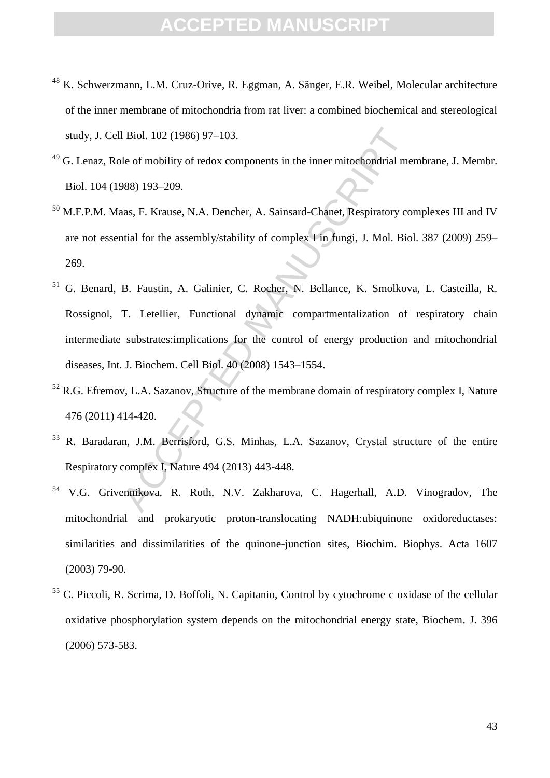<sup>48</sup> K. Schwerzmann, L.M. Cruz-Orive, R. Eggman, A. Sänger, E.R. Weibel, Molecular architecture of the inner membrane of mitochondria from rat liver: a combined biochemical and stereological study, J. Cell Biol. 102 (1986) 97–103.

<u>.</u>

- <sup>49</sup> G. Lenaz, Role of mobility of redox components in the inner mitochondrial membrane, J. Membr. Biol. 104 (1988) 193–209.
- <sup>50</sup> M.F.P.M. Maas, F. Krause, N.A. Dencher, A. Sainsard-Chanet, Respiratory complexes III and IV are not essential for the assembly/stability of complex I in fungi, J. Mol. Biol. 387 (2009) 259– 269.
- 1 Biol. 102 (1986) 97–103.<br>
Ile of mobility of redox components in the inner mitochondrial me<br>
1888) 193–209.<br>
Iles of mobility of redox components in the inner mitochondrial me<br>
Iles of mobility of redox components in fun <sup>51</sup> G. Benard, B. Faustin, A. Galinier, C. Rocher, N. Bellance, K. Smolkova, L. Casteilla, R. Rossignol, T. Letellier, Functional dynamic compartmentalization of respiratory chain intermediate substrates:implications for the control of energy production and mitochondrial diseases, Int. J. Biochem. Cell Biol. 40 (2008) 1543–1554.
- $52$  R.G. Efremov, L.A. Sazanov, Structure of the membrane domain of respiratory complex I, Nature 476 (2011) 414-420.
- <sup>53</sup> R. Baradaran, J.M. Berrisford, G.S. Minhas, L.A. Sazanov, Crystal structure of the entire Respiratory complex I, Nature 494 (2013) 443-448.
- <sup>54</sup> V.G. Grivennikova, R. Roth, N.V. Zakharova, C. Hagerhall, A.D. Vinogradov, The mitochondrial and prokaryotic proton-translocating NADH:ubiquinone oxidoreductases: similarities and dissimilarities of the quinone-junction sites, Biochim. Biophys. Acta 1607 (2003) 79-90.
- <sup>55</sup> C. Piccoli, R. Scrima, D. Boffoli, N. Capitanio, Control by cytochrome c oxidase of the cellular oxidative phosphorylation system depends on the mitochondrial energy state, Biochem. J. 396 (2006) 573-583.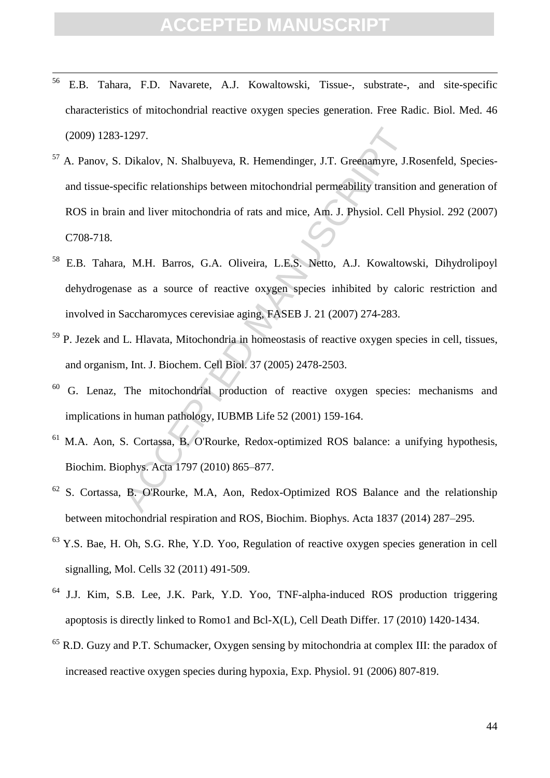- 56 <sup>56</sup> E.B. Tahara, F.D. Navarete, A.J. Kowaltowski, Tissue-, substrate-, and site-specific characteristics of mitochondrial reactive oxygen species generation. Free Radic. Biol. Med. 46 (2009) 1283-1297.
- 1297.<br>
Dikalov, N. Shalbuyeva, R. Hemendinger, J.T. Greenamyre, J.H.<br>
becific relationships between mitochondrial permeability transition<br>
n and liver mitochondria of rats and mice, Am. J. Physiol. Cell F<br>
4. M.H. Barros, <sup>57</sup> A. Panov, S. Dikalov, N. Shalbuyeva, R. Hemendinger, J.T. Greenamyre, J.Rosenfeld, Speciesand tissue-specific relationships between mitochondrial permeability transition and generation of ROS in brain and liver mitochondria of rats and mice, Am. J. Physiol. Cell Physiol. 292 (2007) C708-718.
- <sup>58</sup> E.B. Tahara, M.H. Barros, G.A. Oliveira, L.E.S. Netto, A.J. Kowaltowski, Dihydrolipoyl dehydrogenase as a source of reactive oxygen species inhibited by caloric restriction and involved in Saccharomyces cerevisiae aging, FASEB J. 21 (2007) 274-283.
- <sup>59</sup> P. Jezek and L. Hlavata, Mitochondria in homeostasis of reactive oxygen species in cell, tissues, and organism, Int. J. Biochem. Cell Biol. 37 (2005) 2478-2503.
- $60$  G. Lenaz, The mitochondrial production of reactive oxygen species: mechanisms and implications in human pathology, IUBMB Life 52 (2001) 159-164.
- M.A. Aon, S. Cortassa, B. O'Rourke, Redox-optimized ROS balance: a unifying hypothesis, Biochim. Biophys. Acta 1797 (2010) 865–877.
- <sup>62</sup> S. Cortassa, B. O'Rourke, M.A, Aon, Redox-Optimized ROS Balance and the relationship between mitochondrial respiration and ROS, Biochim. Biophys. Acta 1837 (2014) 287–295.
- $63$  Y.S. Bae, H. Oh, S.G. Rhe, Y.D. Yoo, Regulation of reactive oxygen species generation in cell signalling, Mol. Cells 32 (2011) 491-509.
- <sup>64</sup> J.J. Kim, S.B. Lee, J.K. Park, Y.D. Yoo, TNF-alpha-induced ROS production triggering apoptosis is directly linked to Romo1 and Bcl-X(L), Cell Death Differ. 17 (2010) 1420-1434.
- $65$  R.D. Guzy and P.T. Schumacker, Oxygen sensing by mitochondria at complex III: the paradox of increased reactive oxygen species during hypoxia, Exp. Physiol. 91 (2006) 807-819.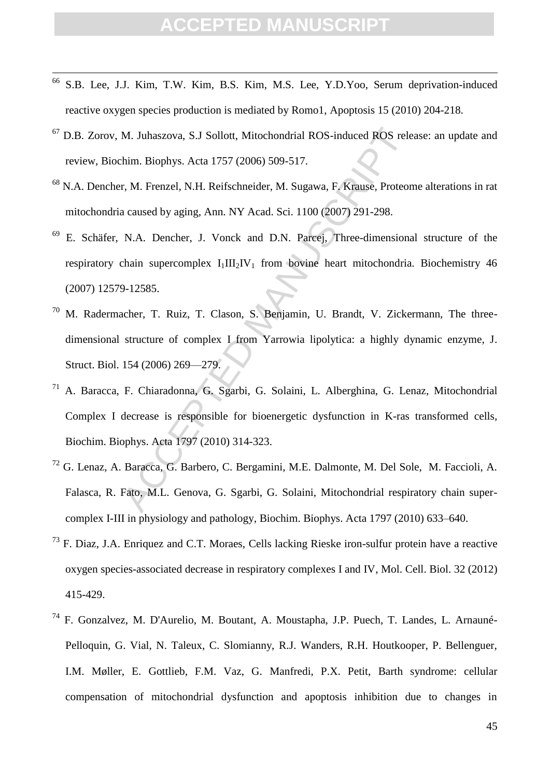<sup>66</sup> S.B. Lee, J.J. Kim, T.W. Kim, B.S. Kim, M.S. Lee, Y.D.Yoo, Serum deprivation-induced reactive oxygen species production is mediated by Romo1, Apoptosis 15 (2010) 204-218.

<u>.</u>

- $67$  D.B. Zorov, M. Juhaszova, S.J Sollott, Mitochondrial ROS-induced ROS release: an update and review, Biochim. Biophys. Acta 1757 (2006) 509-517.
- <sup>68</sup> N.A. Dencher, M. Frenzel, N.H. Reifschneider, M. Sugawa, F. Krause, Proteome alterations in rat mitochondria caused by aging*,* Ann. NY Acad. Sci. 1100 (2007) 291-298.
- M. Juhaszova, S.J Sollott, Mitochondrial ROS-induced ROS rele<br>
him. Biophys. Acta 1757 (2006) 509-517.<br>
r, M. Frenzel, N.H. Reifschneider, M. Sugawa, F. Krause, Proteor<br>
a caused by aging, Ann. NY Acad. Sci. 1100 (2007) 29  $69$  E. Schäfer, N.A. Dencher, J. Vonck and D.N. Parcej, Three-dimensional structure of the respiratory chain supercomplex  $I_1III_2IV_1$  from bovine heart mitochondria. Biochemistry 46 (2007) 12579-12585.
- M. Radermacher, T. Ruiz, T. Clason, S. Benjamin, U. Brandt, V. Zickermann, The threedimensional structure of complex I from Yarrowia lipolytica: a highly dynamic enzyme, J. Struct. Biol. 154 (2006) 269—279.
- <sup>71</sup> A. Baracca, F. Chiaradonna, G. Sgarbi, G. Solaini, L. Alberghina, G. Lenaz, Mitochondrial Complex I decrease is responsible for bioenergetic dysfunction in K-ras transformed cells*,*  Biochim. Biophys. Acta 1797 (2010) 314-323.
- <sup>72</sup> G. Lenaz, A. Baracca, G. Barbero, C. Bergamini, M.E. Dalmonte, M. Del Sole, M. Faccioli, A. Falasca, R. Fato, M.L. Genova, G. Sgarbi, G. Solaini, Mitochondrial respiratory chain supercomplex I-III in physiology and pathology*,* Biochim. Biophys. Acta 1797 (2010) 633–640.
- <sup>73</sup> F. Diaz, J.A. Enriquez and C.T. Moraes, Cells lacking Rieske iron-sulfur protein have a reactive oxygen species-associated decrease in respiratory complexes I and IV, Mol. Cell. Biol. 32 (2012) 415-429.
- <sup>74</sup> F. Gonzalvez, M. D'Aurelio, M. Boutant, A. Moustapha, J.P. Puech, T. Landes, L. Arnauné-Pelloquin, G. Vial, N. Taleux, C. Slomianny, R.J. Wanders, R.H. Houtkooper, P. Bellenguer, I.M. Møller, E. Gottlieb, F.M. Vaz, G. Manfredi, P.X. Petit, Barth syndrome: cellular compensation of mitochondrial dysfunction and apoptosis inhibition due to changes in